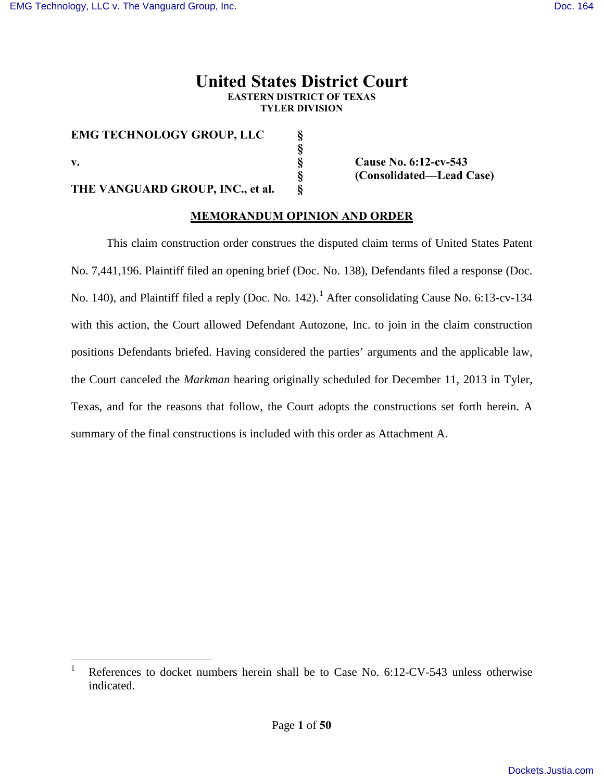## **United States District Court EASTERN DISTRICT OF TEXAS TYLER DIVISION**

**EMG TECHNOLOGY GROUP, LLC § §** 

**THE VANGUARD GROUP, INC., et al.** 

**v. § Cause No. 6:12-cv-543 § (Consolidated—Lead Case)**

# **MEMORANDUM OPINION AND ORDER**

This claim construction order construes the disputed claim terms of United States Patent No. 7,441,196. Plaintiff filed an opening brief (Doc. No. 138), Defendants filed a response (Doc. No. [1](#page-0-0)40), and Plaintiff filed a reply (Doc. No. 142).<sup>1</sup> After consolidating Cause No. 6:13-cv-134 with this action, the Court allowed Defendant Autozone, Inc. to join in the claim construction positions Defendants briefed. Having considered the parties' arguments and the applicable law, the Court canceled the *Markman* hearing originally scheduled for December 11, 2013 in Tyler, Texas, and for the reasons that follow, the Court adopts the constructions set forth herein. A summary of the final constructions is included with this order as Attachment A.

<span id="page-0-1"></span><span id="page-0-0"></span> $\frac{1}{1}$  References to docket numbers herein shall be to Case No. 6:12-CV-543 unless otherwise indicated.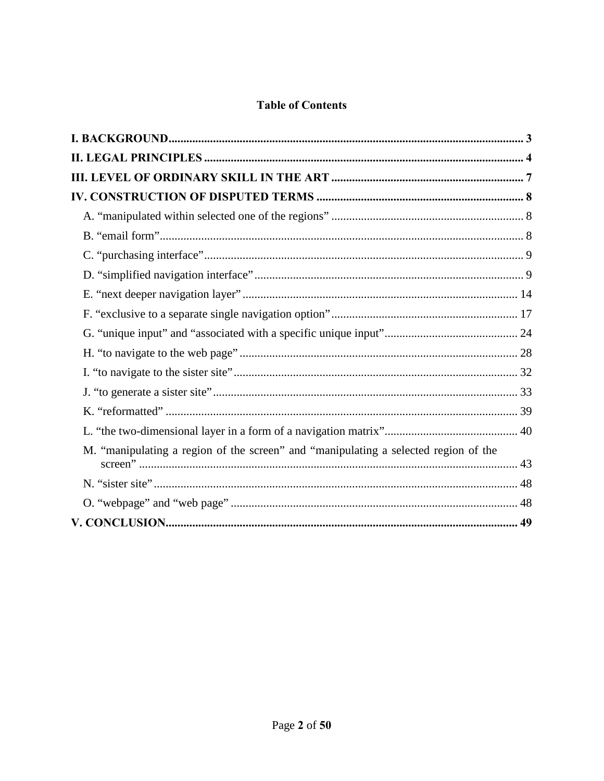# **Table of Contents**

| M. "manipulating a region of the screen" and "manipulating a selected region of the |  |
|-------------------------------------------------------------------------------------|--|
|                                                                                     |  |
|                                                                                     |  |
|                                                                                     |  |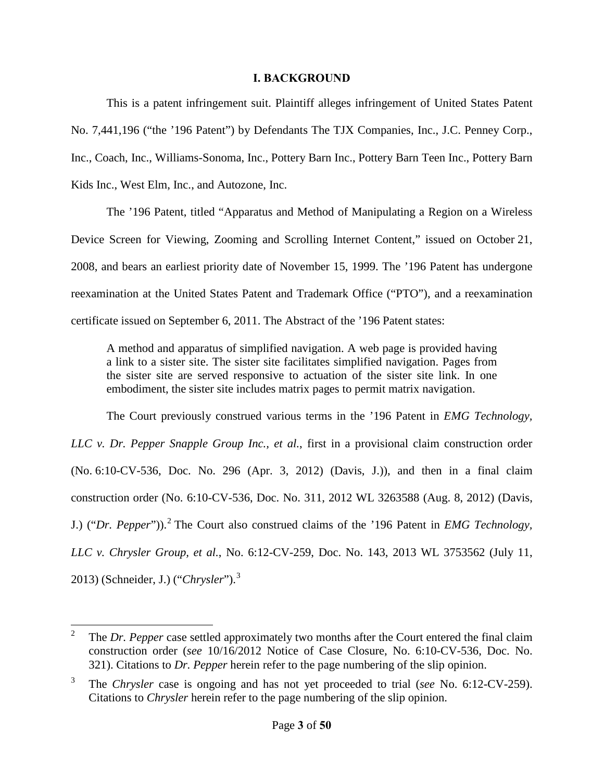#### **I. BACKGROUND**

<span id="page-2-0"></span>This is a patent infringement suit. Plaintiff alleges infringement of United States Patent No. 7,441,196 ("the '196 Patent") by Defendants The TJX Companies, Inc., J.C. Penney Corp., Inc., Coach, Inc., Williams-Sonoma, Inc., Pottery Barn Inc., Pottery Barn Teen Inc., Pottery Barn Kids Inc., West Elm, Inc., and Autozone, Inc.

The '196 Patent, titled "Apparatus and Method of Manipulating a Region on a Wireless Device Screen for Viewing, Zooming and Scrolling Internet Content," issued on October 21, 2008, and bears an earliest priority date of November 15, 1999. The '196 Patent has undergone reexamination at the United States Patent and Trademark Office ("PTO"), and a reexamination certificate issued on September 6, 2011. The Abstract of the '196 Patent states:

A method and apparatus of simplified navigation. A web page is provided having a link to a sister site. The sister site facilitates simplified navigation. Pages from the sister site are served responsive to actuation of the sister site link. In one embodiment, the sister site includes matrix pages to permit matrix navigation.

The Court previously construed various terms in the '196 Patent in *EMG Technology, LLC v. Dr. Pepper Snapple Group Inc., et al.*, first in a provisional claim construction order (No. 6:10-CV-536, Doc. No. 296 (Apr. 3, 2012) (Davis, J.)), and then in a final claim construction order (No. 6:10-CV-536, Doc. No. 311, 2012 WL 3263588 (Aug. 8, 2012) (Davis, J.) ("Dr. Pepper")).<sup>[2](#page-0-1)</sup> The Court also construed claims of the '196 Patent in *EMG Technology*, *LLC v. Chrysler Group, et al.*, No. 6:12-CV-259, Doc. No. 143, 2013 WL 3753562 (July 11, 2013) (Schneider, J.) ("*Chrysler*"). [3](#page-2-1)

<span id="page-2-2"></span> $\frac{1}{2}$  The *Dr. Pepper* case settled approximately two months after the Court entered the final claim construction order (*see* 10/16/2012 Notice of Case Closure, No. 6:10-CV-536, Doc. No. 321). Citations to *Dr. Pepper* herein refer to the page numbering of the slip opinion.

<span id="page-2-1"></span><sup>3</sup> The *Chrysler* case is ongoing and has not yet proceeded to trial (*see* No. 6:12-CV-259). Citations to *Chrysler* herein refer to the page numbering of the slip opinion.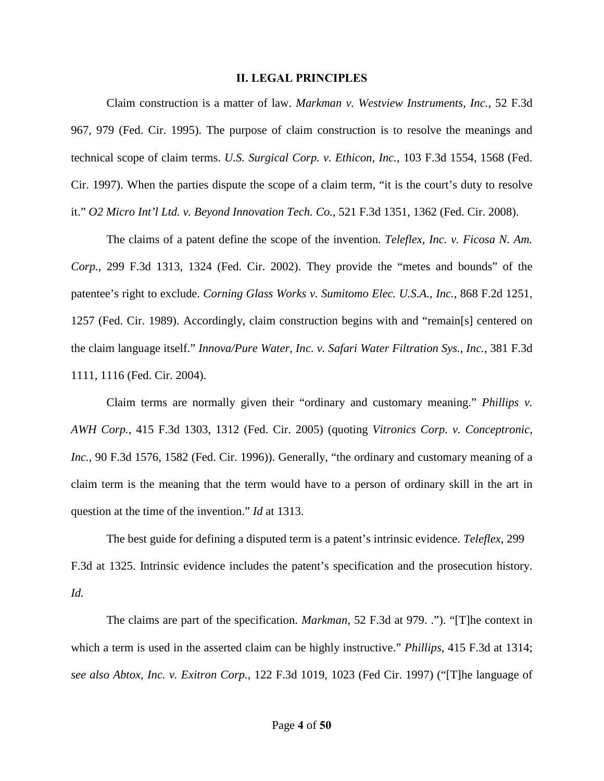#### **II. LEGAL PRINCIPLES**

<span id="page-3-0"></span>Claim construction is a matter of law. *Markman v. Westview Instruments, Inc.*, 52 F.3d 967, 979 (Fed. Cir. 1995). The purpose of claim construction is to resolve the meanings and technical scope of claim terms. *U.S. Surgical Corp. v. Ethicon, Inc.*, 103 F.3d 1554, 1568 (Fed. Cir. 1997). When the parties dispute the scope of a claim term, "it is the court's duty to resolve it." *O2 Micro Int'l Ltd. v. Beyond Innovation Tech. Co.*, 521 F.3d 1351, 1362 (Fed. Cir. 2008).

The claims of a patent define the scope of the invention. *Teleflex, Inc. v. Ficosa N. Am. Corp.*, 299 F.3d 1313, 1324 (Fed. Cir. 2002). They provide the "metes and bounds" of the patentee's right to exclude. *Corning Glass Works v. Sumitomo Elec. U.S.A., Inc.*, 868 F.2d 1251, 1257 (Fed. Cir. 1989). Accordingly, claim construction begins with and "remain[s] centered on the claim language itself." *Innova/Pure Water, Inc. v. Safari Water Filtration Sys., Inc.*, 381 F.3d 1111, 1116 (Fed. Cir. 2004).

Claim terms are normally given their "ordinary and customary meaning." *Phillips v. AWH Corp.*, 415 F.3d 1303, 1312 (Fed. Cir. 2005) (quoting *Vitronics Corp. v. Conceptronic, Inc.*, 90 F.3d 1576, 1582 (Fed. Cir. 1996)). Generally, "the ordinary and customary meaning of a claim term is the meaning that the term would have to a person of ordinary skill in the art in question at the time of the invention." *Id* at 1313.

The best guide for defining a disputed term is a patent's intrinsic evidence. *Teleflex*, 299 F.3d at 1325. Intrinsic evidence includes the patent's specification and the prosecution history. *Id.*

The claims are part of the specification. *Markman*, 52 F.3d at 979. ."). "[T]he context in which a term is used in the asserted claim can be highly instructive." *Phillips*, 415 F.3d at 1314; *see also Abtox, Inc. v. Exitron Corp.*, 122 F.3d 1019, 1023 (Fed Cir. 1997) ("[T]he language of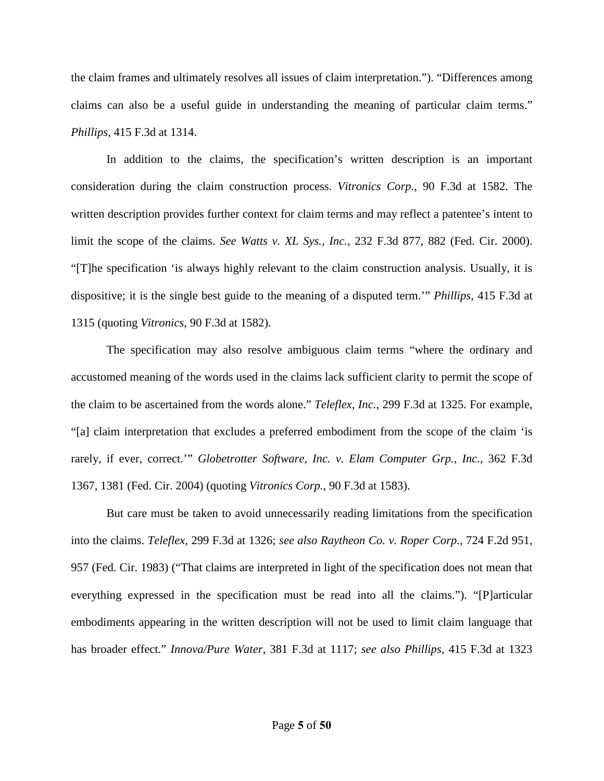the claim frames and ultimately resolves all issues of claim interpretation."). "Differences among claims can also be a useful guide in understanding the meaning of particular claim terms." *Phillips*, 415 F.3d at 1314.

In addition to the claims, the specification's written description is an important consideration during the claim construction process. *Vitronics Corp.*, 90 F.3d at 1582. The written description provides further context for claim terms and may reflect a patentee's intent to limit the scope of the claims. *See Watts v. XL Sys., Inc.*, 232 F.3d 877, 882 (Fed. Cir. 2000). "[T]he specification 'is always highly relevant to the claim construction analysis. Usually, it is dispositive; it is the single best guide to the meaning of a disputed term.'" *Phillips*, 415 F.3d at 1315 (quoting *Vitronics*, 90 F.3d at 1582).

The specification may also resolve ambiguous claim terms "where the ordinary and accustomed meaning of the words used in the claims lack sufficient clarity to permit the scope of the claim to be ascertained from the words alone." *Teleflex, Inc.*, 299 F.3d at 1325. For example, "[a] claim interpretation that excludes a preferred embodiment from the scope of the claim 'is rarely, if ever, correct.'" *Globetrotter Software, Inc. v. Elam Computer Grp., Inc.*, 362 F.3d 1367, 1381 (Fed. Cir. 2004) (quoting *Vitronics Corp.*, 90 F.3d at 1583).

But care must be taken to avoid unnecessarily reading limitations from the specification into the claims. *Teleflex*, 299 F.3d at 1326; *see also Raytheon Co. v. Roper Corp.*, 724 F.2d 951, 957 (Fed. Cir. 1983) ("That claims are interpreted in light of the specification does not mean that everything expressed in the specification must be read into all the claims."). "[P]articular embodiments appearing in the written description will not be used to limit claim language that has broader effect." *Innova/Pure Water*, 381 F.3d at 1117; *see also Phillips*, 415 F.3d at 1323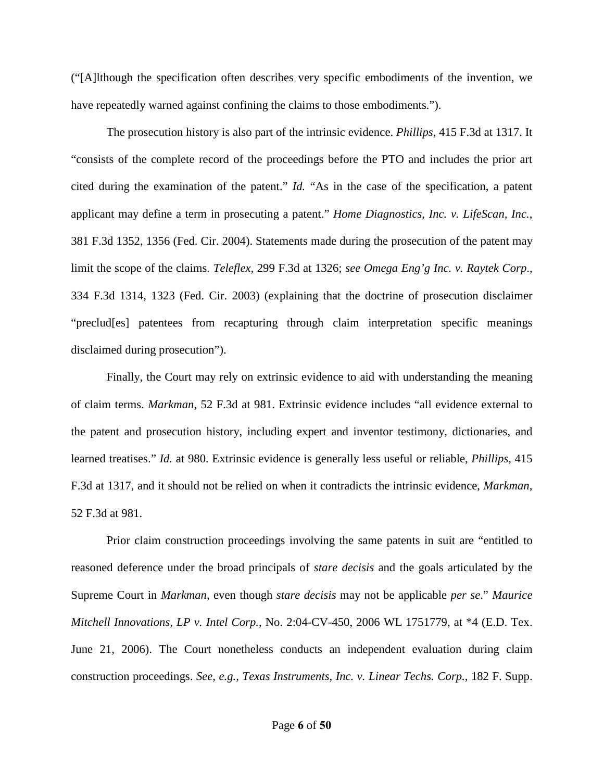("[A]lthough the specification often describes very specific embodiments of the invention, we have repeatedly warned against confining the claims to those embodiments.").

The prosecution history is also part of the intrinsic evidence. *Phillips*, 415 F.3d at 1317. It "consists of the complete record of the proceedings before the PTO and includes the prior art cited during the examination of the patent." *Id.* "As in the case of the specification, a patent applicant may define a term in prosecuting a patent." *Home Diagnostics, Inc. v. LifeScan, Inc.*, 381 F.3d 1352, 1356 (Fed. Cir. 2004). Statements made during the prosecution of the patent may limit the scope of the claims. *Teleflex,* 299 F.3d at 1326; *see Omega Eng'g Inc. v. Raytek Corp*., 334 F.3d 1314, 1323 (Fed. Cir. 2003) (explaining that the doctrine of prosecution disclaimer "preclud[es] patentees from recapturing through claim interpretation specific meanings disclaimed during prosecution").

Finally, the Court may rely on extrinsic evidence to aid with understanding the meaning of claim terms. *Markman*, 52 F.3d at 981. Extrinsic evidence includes "all evidence external to the patent and prosecution history, including expert and inventor testimony, dictionaries, and learned treatises." *Id.* at 980. Extrinsic evidence is generally less useful or reliable, *Phillips*, 415 F.3d at 1317, and it should not be relied on when it contradicts the intrinsic evidence, *Markman*, 52 F.3d at 981.

Prior claim construction proceedings involving the same patents in suit are "entitled to reasoned deference under the broad principals of *stare decisis* and the goals articulated by the Supreme Court in *Markman*, even though *stare decisis* may not be applicable *per se*." *Maurice Mitchell Innovations, LP v. Intel Corp.*, No. 2:04-CV-450, 2006 WL 1751779, at \*4 (E.D. Tex. June 21, 2006). The Court nonetheless conducts an independent evaluation during claim construction proceedings. *See, e.g., Texas Instruments, Inc. v. Linear Techs. Corp.*, 182 F. Supp.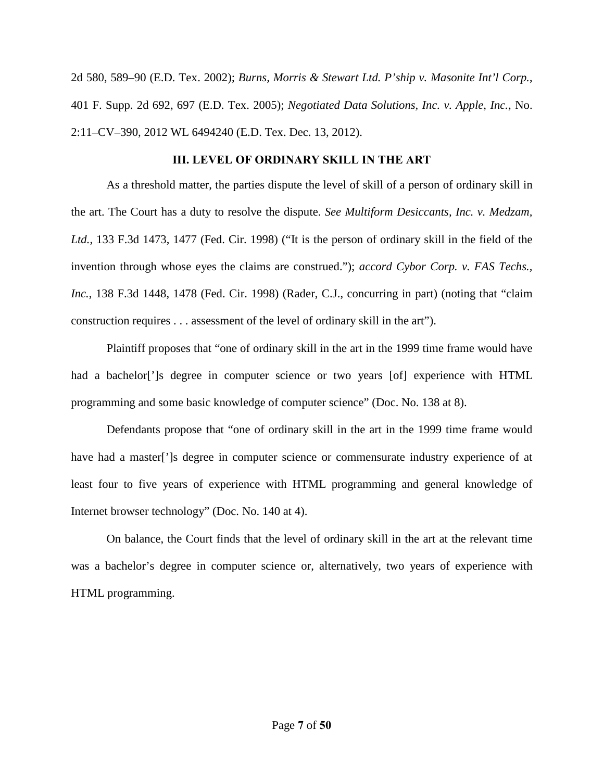2d 580, 589–90 (E.D. Tex. 2002); *Burns, Morris & Stewart Ltd. P'ship v. Masonite Int'l Corp.*, 401 F. Supp. 2d 692, 697 (E.D. Tex. 2005); *Negotiated Data Solutions, Inc. v. Apple, Inc.*, No. 2:11–CV–390, 2012 WL 6494240 (E.D. Tex. Dec. 13, 2012).

#### **III. LEVEL OF ORDINARY SKILL IN THE ART**

<span id="page-6-0"></span>As a threshold matter, the parties dispute the level of skill of a person of ordinary skill in the art. The Court has a duty to resolve the dispute. *See Multiform Desiccants, Inc. v. Medzam, Ltd.*, 133 F.3d 1473, 1477 (Fed. Cir. 1998) ("It is the person of ordinary skill in the field of the invention through whose eyes the claims are construed."); *accord Cybor Corp. v. FAS Techs., Inc.*, 138 F.3d 1448, 1478 (Fed. Cir. 1998) (Rader, C.J., concurring in part) (noting that "claim construction requires . . . assessment of the level of ordinary skill in the art").

Plaintiff proposes that "one of ordinary skill in the art in the 1999 time frame would have had a bachelor<sup>[\*</sup>]s degree in computer science or two years [of] experience with HTML programming and some basic knowledge of computer science" (Doc. No. 138 at 8).

Defendants propose that "one of ordinary skill in the art in the 1999 time frame would have had a master<sup>[']</sup>s degree in computer science or commensurate industry experience of at least four to five years of experience with HTML programming and general knowledge of Internet browser technology" (Doc. No. 140 at 4).

On balance, the Court finds that the level of ordinary skill in the art at the relevant time was a bachelor's degree in computer science or, alternatively, two years of experience with HTML programming.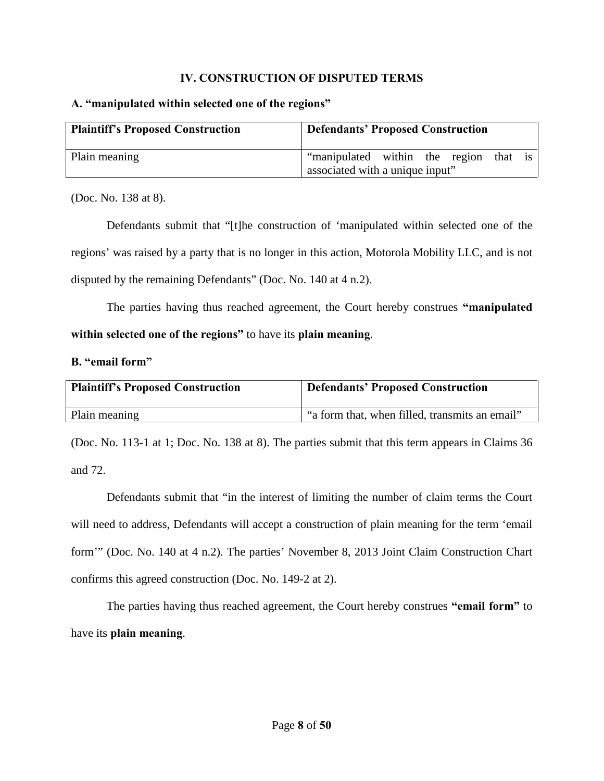#### **IV. CONSTRUCTION OF DISPUTED TERMS**

#### <span id="page-7-1"></span><span id="page-7-0"></span>**A. "manipulated within selected one of the regions"**

| <b>Plaintiff's Proposed Construction</b> | <b>Defendants' Proposed Construction</b> |
|------------------------------------------|------------------------------------------|
| Plain meaning                            | "manipulated within the region<br>that   |
|                                          | associated with a unique input"          |

(Doc. No. 138 at 8).

Defendants submit that "[t]he construction of 'manipulated within selected one of the regions' was raised by a party that is no longer in this action, Motorola Mobility LLC, and is not disputed by the remaining Defendants" (Doc. No. 140 at 4 n.2).

 The parties having thus reached agreement, the Court hereby construes **"manipulated within selected one of the regions"** to have its **plain meaning**.

#### <span id="page-7-2"></span>**B. "email form"**

| <b>Plaintiff's Proposed Construction</b> | <b>Defendants' Proposed Construction</b>       |
|------------------------------------------|------------------------------------------------|
| Plain meaning                            | "a form that, when filled, transmits an email" |

(Doc. No. 113-1 at 1; Doc. No. 138 at 8). The parties submit that this term appears in Claims 36 and 72.

Defendants submit that "in the interest of limiting the number of claim terms the Court will need to address, Defendants will accept a construction of plain meaning for the term 'email form'" (Doc. No. 140 at 4 n.2). The parties' November 8, 2013 Joint Claim Construction Chart confirms this agreed construction (Doc. No. 149-2 at 2).

The parties having thus reached agreement, the Court hereby construes **"email form"** to have its **plain meaning**.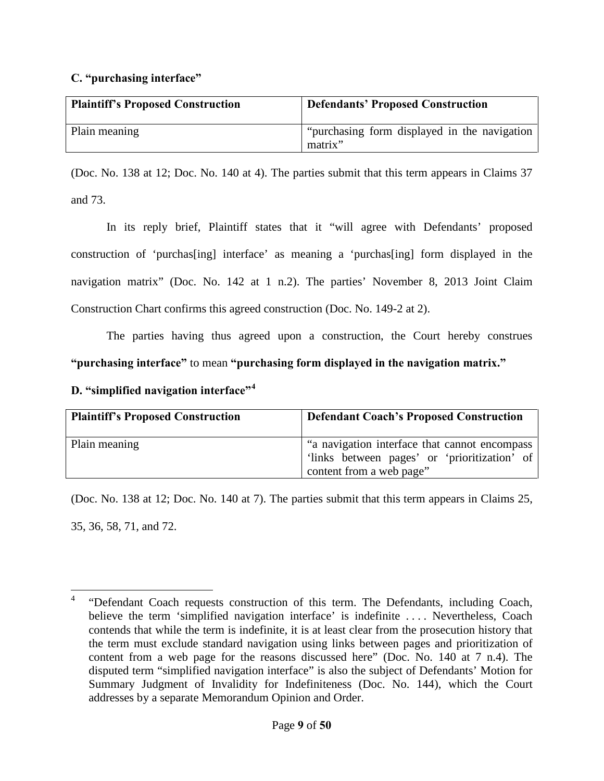## <span id="page-8-0"></span>**C. "purchasing interface"**

| <b>Plaintiff's Proposed Construction</b> | <b>Defendants' Proposed Construction</b>                 |
|------------------------------------------|----------------------------------------------------------|
| Plain meaning                            | "purchasing form displayed in the navigation"<br>matrix" |

(Doc. No. 138 at 12; Doc. No. 140 at 4). The parties submit that this term appears in Claims 37 and 73.

In its reply brief, Plaintiff states that it "will agree with Defendants' proposed construction of 'purchas[ing] interface' as meaning a 'purchas[ing] form displayed in the navigation matrix" (Doc. No. 142 at 1 n.2). The parties' November 8, 2013 Joint Claim Construction Chart confirms this agreed construction (Doc. No. 149-2 at 2).

The parties having thus agreed upon a construction, the Court hereby construes **"purchasing interface"** to mean **"purchasing form displayed in the navigation matrix."**

<span id="page-8-1"></span>**D. "simplified navigation interface"[4](#page-2-2)**

| <b>Plaintiff's Proposed Construction</b> | <b>Defendant Coach's Proposed Construction</b>                                                                            |
|------------------------------------------|---------------------------------------------------------------------------------------------------------------------------|
| Plain meaning                            | "a navigation interface that cannot encompass<br>'links between pages' or 'prioritization' of<br>content from a web page" |

(Doc. No. 138 at 12; Doc. No. 140 at 7). The parties submit that this term appears in Claims 25, 35, 36, 58, 71, and 72.

<span id="page-8-2"></span> $\overline{a}$ 4 "Defendant Coach requests construction of this term. The Defendants, including Coach, believe the term 'simplified navigation interface' is indefinite . . . . Nevertheless, Coach contends that while the term is indefinite, it is at least clear from the prosecution history that the term must exclude standard navigation using links between pages and prioritization of content from a web page for the reasons discussed here" (Doc. No. 140 at 7 n.4). The disputed term "simplified navigation interface" is also the subject of Defendants' Motion for Summary Judgment of Invalidity for Indefiniteness (Doc. No. 144), which the Court addresses by a separate Memorandum Opinion and Order.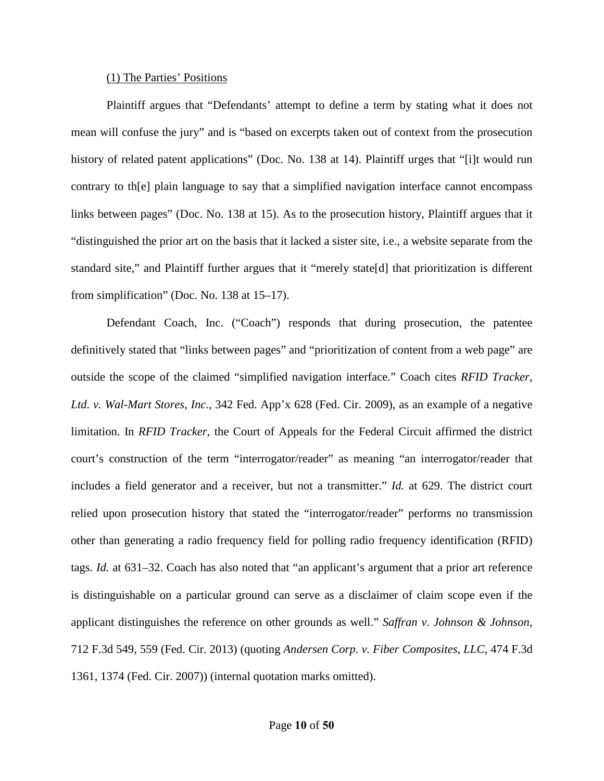#### (1) The Parties' Positions

Plaintiff argues that "Defendants' attempt to define a term by stating what it does not mean will confuse the jury" and is "based on excerpts taken out of context from the prosecution history of related patent applications" (Doc. No. 138 at 14). Plaintiff urges that "[i]t would run contrary to th[e] plain language to say that a simplified navigation interface cannot encompass links between pages" (Doc. No. 138 at 15). As to the prosecution history, Plaintiff argues that it "distinguished the prior art on the basis that it lacked a sister site, i.e., a website separate from the standard site," and Plaintiff further argues that it "merely state[d] that prioritization is different from simplification" (Doc. No. 138 at 15–17).

Defendant Coach, Inc. ("Coach") responds that during prosecution, the patentee definitively stated that "links between pages" and "prioritization of content from a web page" are outside the scope of the claimed "simplified navigation interface." Coach cites *RFID Tracker, Ltd. v. Wal-Mart Stores, Inc.*, 342 Fed. App'x 628 (Fed. Cir. 2009), as an example of a negative limitation. In *RFID Tracker*, the Court of Appeals for the Federal Circuit affirmed the district court's construction of the term "interrogator/reader" as meaning "an interrogator/reader that includes a field generator and a receiver, but not a transmitter." *Id.* at 629. The district court relied upon prosecution history that stated the "interrogator/reader" performs no transmission other than generating a radio frequency field for polling radio frequency identification (RFID) tags. *Id.* at 631–32. Coach has also noted that "an applicant's argument that a prior art reference is distinguishable on a particular ground can serve as a disclaimer of claim scope even if the applicant distinguishes the reference on other grounds as well." *Saffran v. Johnson & Johnson*, 712 F.3d 549, 559 (Fed. Cir. 2013) (quoting *Andersen Corp. v. Fiber Composites, LLC*, 474 F.3d 1361, 1374 (Fed. Cir. 2007)) (internal quotation marks omitted).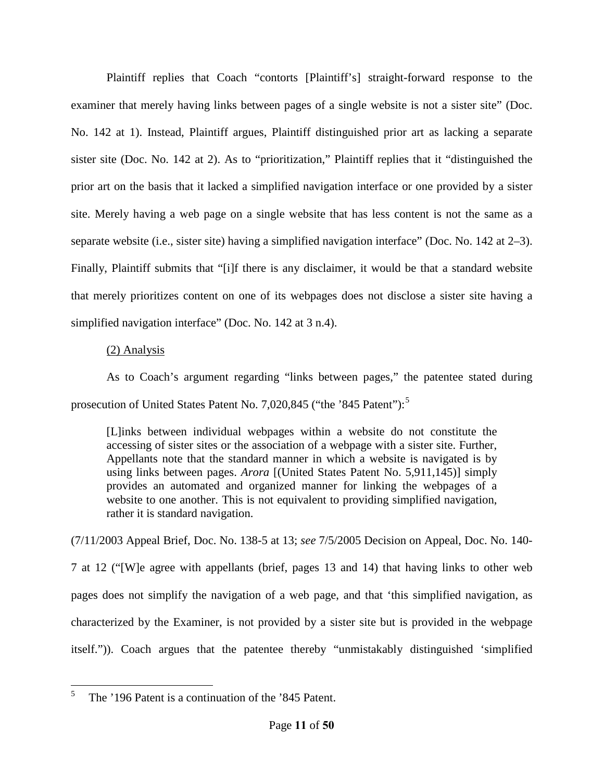Plaintiff replies that Coach "contorts [Plaintiff's] straight-forward response to the examiner that merely having links between pages of a single website is not a sister site" (Doc. No. 142 at 1). Instead, Plaintiff argues, Plaintiff distinguished prior art as lacking a separate sister site (Doc. No. 142 at 2). As to "prioritization," Plaintiff replies that it "distinguished the prior art on the basis that it lacked a simplified navigation interface or one provided by a sister site. Merely having a web page on a single website that has less content is not the same as a separate website (i.e., sister site) having a simplified navigation interface" (Doc. No. 142 at 2–3). Finally, Plaintiff submits that "[i]f there is any disclaimer, it would be that a standard website that merely prioritizes content on one of its webpages does not disclose a sister site having a simplified navigation interface" (Doc. No. 142 at 3 n.4).

#### (2) Analysis

As to Coach's argument regarding "links between pages," the patentee stated during prosecution of United States Patent No. 7,020,84[5](#page-8-2) ("the '845 Patent"):<sup>5</sup>

[L]inks between individual webpages within a website do not constitute the accessing of sister sites or the association of a webpage with a sister site. Further, Appellants note that the standard manner in which a website is navigated is by using links between pages. *Arora* [(United States Patent No. 5,911,145)] simply provides an automated and organized manner for linking the webpages of a website to one another. This is not equivalent to providing simplified navigation, rather it is standard navigation.

(7/11/2003 Appeal Brief, Doc. No. 138-5 at 13; *see* 7/5/2005 Decision on Appeal, Doc. No. 140- 7 at 12 ("[W]e agree with appellants (brief, pages 13 and 14) that having links to other web pages does not simplify the navigation of a web page, and that 'this simplified navigation, as characterized by the Examiner, is not provided by a sister site but is provided in the webpage itself.")). Coach argues that the patentee thereby "unmistakably distinguished 'simplified

<span id="page-10-0"></span> 5 The '196 Patent is a continuation of the '845 Patent.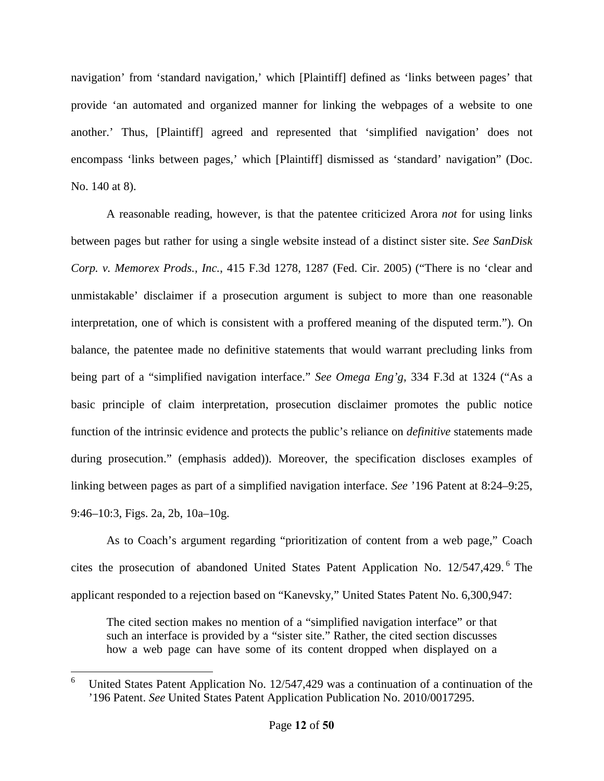navigation' from 'standard navigation,' which [Plaintiff] defined as 'links between pages' that provide 'an automated and organized manner for linking the webpages of a website to one another.' Thus, [Plaintiff] agreed and represented that 'simplified navigation' does not encompass 'links between pages,' which [Plaintiff] dismissed as 'standard' navigation" (Doc. No. 140 at 8).

A reasonable reading, however, is that the patentee criticized Arora *not* for using links between pages but rather for using a single website instead of a distinct sister site. *See SanDisk Corp. v. Memorex Prods., Inc.*, 415 F.3d 1278, 1287 (Fed. Cir. 2005) ("There is no 'clear and unmistakable' disclaimer if a prosecution argument is subject to more than one reasonable interpretation, one of which is consistent with a proffered meaning of the disputed term."). On balance, the patentee made no definitive statements that would warrant precluding links from being part of a "simplified navigation interface." *See Omega Eng'g*, 334 F.3d at 1324 ("As a basic principle of claim interpretation, prosecution disclaimer promotes the public notice function of the intrinsic evidence and protects the public's reliance on *definitive* statements made during prosecution." (emphasis added)). Moreover, the specification discloses examples of linking between pages as part of a simplified navigation interface. *See* '196 Patent at 8:24–9:25, 9:46–10:3, Figs. 2a, 2b, 10a–10g.

As to Coach's argument regarding "prioritization of content from a web page," Coach cites the prosecution of abandoned United States Patent Application No. 12/547,429.<sup>[6](#page-10-0)</sup> The applicant responded to a rejection based on "Kanevsky," United States Patent No. 6,300,947:

The cited section makes no mention of a "simplified navigation interface" or that such an interface is provided by a "sister site." Rather, the cited section discusses how a web page can have some of its content dropped when displayed on a

<span id="page-11-0"></span> 6 United States Patent Application No. 12/547,429 was a continuation of a continuation of the '196 Patent. *See* United States Patent Application Publication No. 2010/0017295.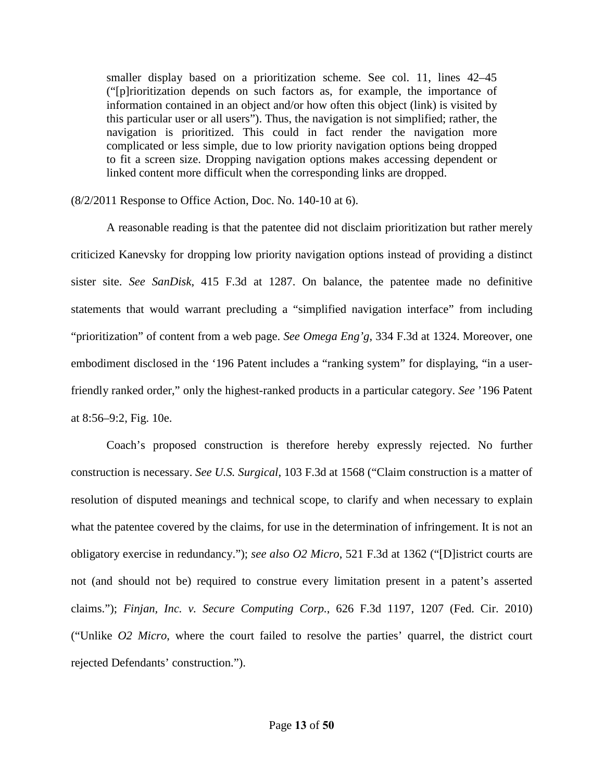smaller display based on a prioritization scheme. See col. 11, lines 42–45 ("[p]rioritization depends on such factors as, for example, the importance of information contained in an object and/or how often this object (link) is visited by this particular user or all users"). Thus, the navigation is not simplified; rather, the navigation is prioritized. This could in fact render the navigation more complicated or less simple, due to low priority navigation options being dropped to fit a screen size. Dropping navigation options makes accessing dependent or linked content more difficult when the corresponding links are dropped.

(8/2/2011 Response to Office Action, Doc. No. 140-10 at 6).

A reasonable reading is that the patentee did not disclaim prioritization but rather merely criticized Kanevsky for dropping low priority navigation options instead of providing a distinct sister site. *See SanDisk*, 415 F.3d at 1287. On balance, the patentee made no definitive statements that would warrant precluding a "simplified navigation interface" from including "prioritization" of content from a web page. *See Omega Eng'g*, 334 F.3d at 1324. Moreover, one embodiment disclosed in the '196 Patent includes a "ranking system" for displaying, "in a userfriendly ranked order," only the highest-ranked products in a particular category. *See* '196 Patent at 8:56–9:2, Fig. 10e.

Coach's proposed construction is therefore hereby expressly rejected. No further construction is necessary. *See U.S. Surgical*, 103 F.3d at 1568 ("Claim construction is a matter of resolution of disputed meanings and technical scope, to clarify and when necessary to explain what the patentee covered by the claims, for use in the determination of infringement. It is not an obligatory exercise in redundancy."); *see also O2 Micro*, 521 F.3d at 1362 ("[D]istrict courts are not (and should not be) required to construe every limitation present in a patent's asserted claims."); *Finjan, Inc. v. Secure Computing Corp.*, 626 F.3d 1197, 1207 (Fed. Cir. 2010) ("Unlike *O2 Micro*, where the court failed to resolve the parties' quarrel, the district court rejected Defendants' construction.").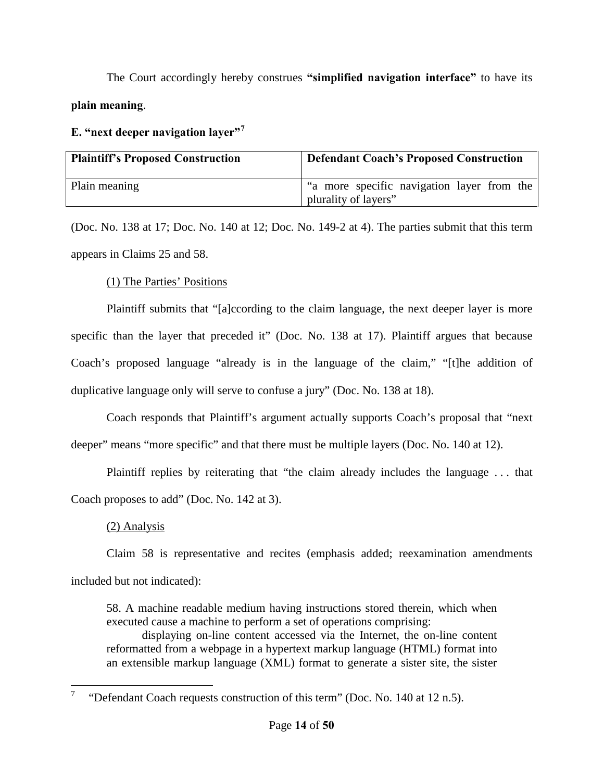The Court accordingly hereby construes **"simplified navigation interface"** to have its **plain meaning**.

# <span id="page-13-0"></span>**E. "next deeper navigation layer"[7](#page-11-0)**

| <b>Plaintiff's Proposed Construction</b> | <b>Defendant Coach's Proposed Construction</b>                       |
|------------------------------------------|----------------------------------------------------------------------|
| Plain meaning                            | I "a more specific navigation layer from the<br>plurality of layers" |

(Doc. No. 138 at 17; Doc. No. 140 at 12; Doc. No. 149-2 at 4). The parties submit that this term appears in Claims 25 and 58.

(1) The Parties' Positions

Plaintiff submits that "[a]ccording to the claim language, the next deeper layer is more specific than the layer that preceded it" (Doc. No. 138 at 17). Plaintiff argues that because Coach's proposed language "already is in the language of the claim," "[t]he addition of duplicative language only will serve to confuse a jury" (Doc. No. 138 at 18).

Coach responds that Plaintiff's argument actually supports Coach's proposal that "next deeper" means "more specific" and that there must be multiple layers (Doc. No. 140 at 12).

Plaintiff replies by reiterating that "the claim already includes the language . . . that Coach proposes to add" (Doc. No. 142 at 3).

# (2) Analysis

Claim 58 is representative and recites (emphasis added; reexamination amendments

included but not indicated):

58. A machine readable medium having instructions stored therein, which when executed cause a machine to perform a set of operations comprising:

displaying on-line content accessed via the Internet, the on-line content reformatted from a webpage in a hypertext markup language (HTML) format into an extensible markup language (XML) format to generate a sister site, the sister

<span id="page-13-1"></span> $\overline{a}$ 7 "Defendant Coach requests construction of this term" (Doc. No. 140 at 12 n.5).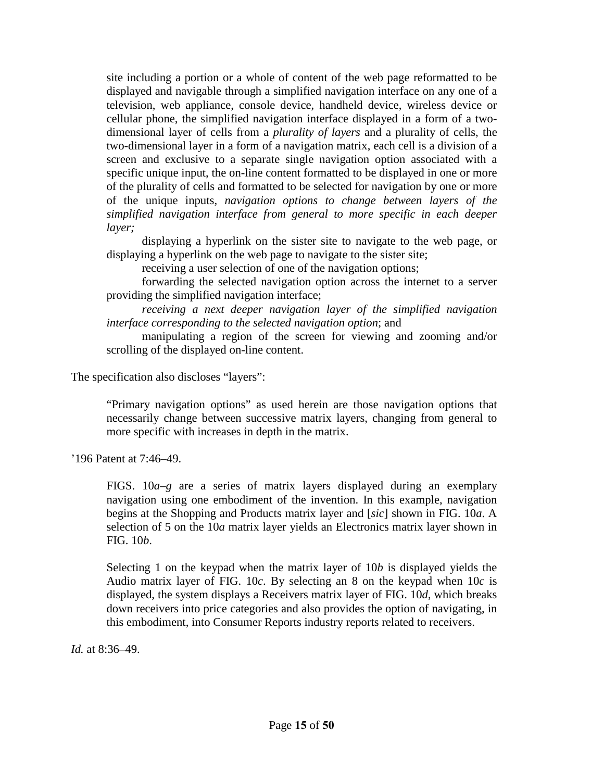site including a portion or a whole of content of the web page reformatted to be displayed and navigable through a simplified navigation interface on any one of a television, web appliance, console device, handheld device, wireless device or cellular phone, the simplified navigation interface displayed in a form of a twodimensional layer of cells from a *plurality of layers* and a plurality of cells, the two-dimensional layer in a form of a navigation matrix, each cell is a division of a screen and exclusive to a separate single navigation option associated with a specific unique input, the on-line content formatted to be displayed in one or more of the plurality of cells and formatted to be selected for navigation by one or more of the unique inputs, *navigation options to change between layers of the simplified navigation interface from general to more specific in each deeper layer;*

displaying a hyperlink on the sister site to navigate to the web page, or displaying a hyperlink on the web page to navigate to the sister site;

receiving a user selection of one of the navigation options;

forwarding the selected navigation option across the internet to a server providing the simplified navigation interface;

*receiving a next deeper navigation layer of the simplified navigation interface corresponding to the selected navigation option*; and

manipulating a region of the screen for viewing and zooming and/or scrolling of the displayed on-line content.

The specification also discloses "layers":

"Primary navigation options" as used herein are those navigation options that necessarily change between successive matrix layers, changing from general to more specific with increases in depth in the matrix.

'196 Patent at 7:46–49.

FIGS. 10*a*–*g* are a series of matrix layers displayed during an exemplary navigation using one embodiment of the invention. In this example, navigation begins at the Shopping and Products matrix layer and [*sic*] shown in FIG. 10*a*. A selection of 5 on the 10*a* matrix layer yields an Electronics matrix layer shown in FIG. 10*b*.

Selecting 1 on the keypad when the matrix layer of 10*b* is displayed yields the Audio matrix layer of FIG. 10*c*. By selecting an 8 on the keypad when 10*c* is displayed, the system displays a Receivers matrix layer of FIG. 10*d*, which breaks down receivers into price categories and also provides the option of navigating, in this embodiment, into Consumer Reports industry reports related to receivers.

*Id.* at 8:36–49.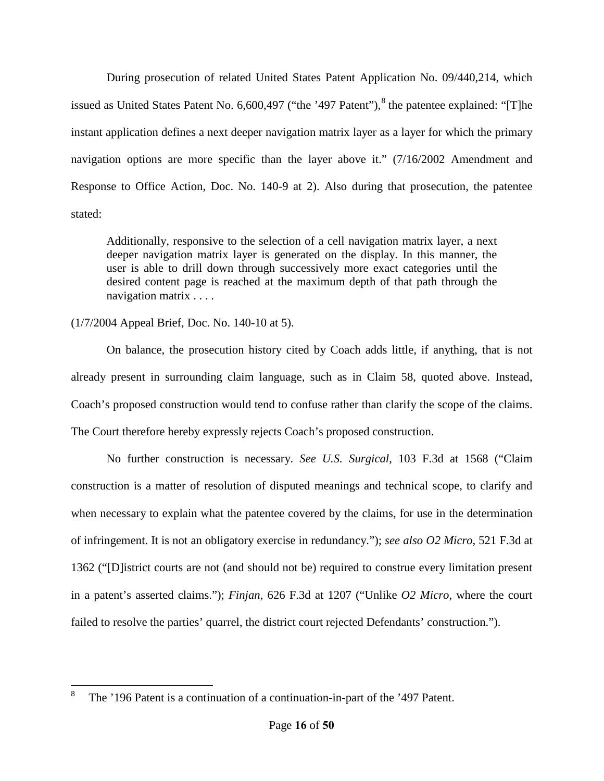During prosecution of related United States Patent Application No. 09/440,214, which issued as United States Patent No. 6,600,497 ("the '497 Patent"), <sup>[8](#page-13-1)</sup> the patentee explained: "[T]he instant application defines a next deeper navigation matrix layer as a layer for which the primary navigation options are more specific than the layer above it." (7/16/2002 Amendment and Response to Office Action, Doc. No. 140-9 at 2). Also during that prosecution, the patentee stated:

Additionally, responsive to the selection of a cell navigation matrix layer, a next deeper navigation matrix layer is generated on the display. In this manner, the user is able to drill down through successively more exact categories until the desired content page is reached at the maximum depth of that path through the navigation matrix . . . .

## (1/7/2004 Appeal Brief, Doc. No. 140-10 at 5).

On balance, the prosecution history cited by Coach adds little, if anything, that is not already present in surrounding claim language, such as in Claim 58, quoted above. Instead, Coach's proposed construction would tend to confuse rather than clarify the scope of the claims. The Court therefore hereby expressly rejects Coach's proposed construction.

No further construction is necessary. *See U.S. Surgical*, 103 F.3d at 1568 ("Claim construction is a matter of resolution of disputed meanings and technical scope, to clarify and when necessary to explain what the patentee covered by the claims, for use in the determination of infringement. It is not an obligatory exercise in redundancy."); *see also O2 Micro*, 521 F.3d at 1362 ("[D]istrict courts are not (and should not be) required to construe every limitation present in a patent's asserted claims."); *Finjan*, 626 F.3d at 1207 ("Unlike *O2 Micro*, where the court failed to resolve the parties' quarrel, the district court rejected Defendants' construction.").

<span id="page-15-0"></span> $\overline{a}$ 8 The '196 Patent is a continuation of a continuation-in-part of the '497 Patent.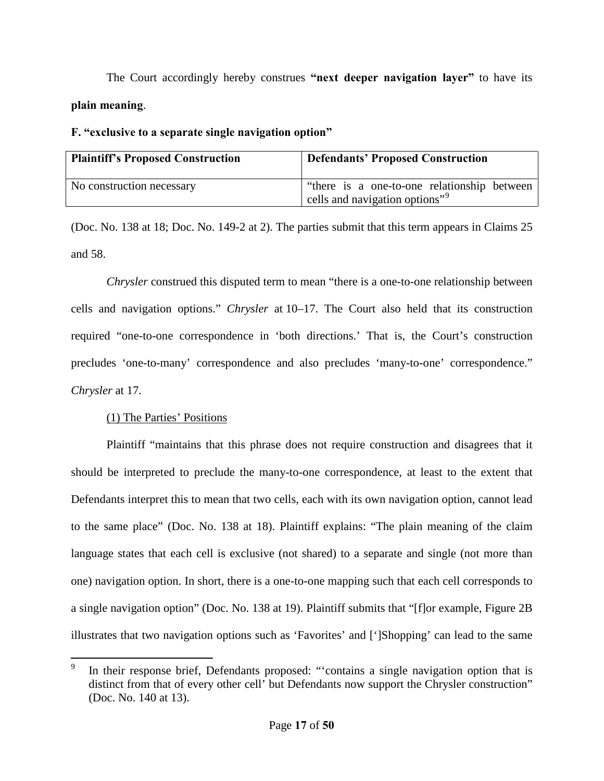The Court accordingly hereby construes **"next deeper navigation layer"** to have its **plain meaning**.

## <span id="page-16-0"></span>**F. "exclusive to a separate single navigation option"**

| <b>Plaintiff's Proposed Construction</b> | <b>Defendants' Proposed Construction</b>                                                    |
|------------------------------------------|---------------------------------------------------------------------------------------------|
| No construction necessary                | l "there is a one-to-one relationship between<br>cells and navigation options" <sup>9</sup> |

(Doc. No. 138 at 18; Doc. No. 149-2 at 2). The parties submit that this term appears in Claims 25 and 58.

*Chrysler* construed this disputed term to mean "there is a one-to-one relationship between cells and navigation options." *Chrysler* at 10–17. The Court also held that its construction required "one-to-one correspondence in 'both directions.' That is, the Court's construction precludes 'one-to-many' correspondence and also precludes 'many-to-one' correspondence." *Chrysler* at 17.

# (1) The Parties' Positions

Plaintiff "maintains that this phrase does not require construction and disagrees that it should be interpreted to preclude the many-to-one correspondence, at least to the extent that Defendants interpret this to mean that two cells, each with its own navigation option, cannot lead to the same place" (Doc. No. 138 at 18). Plaintiff explains: "The plain meaning of the claim language states that each cell is exclusive (not shared) to a separate and single (not more than one) navigation option. In short, there is a one-to-one mapping such that each cell corresponds to a single navigation option" (Doc. No. 138 at 19). Plaintiff submits that "[f]or example, Figure 2B illustrates that two navigation options such as 'Favorites' and [']Shopping' can lead to the same

<span id="page-16-1"></span> $\overline{a}$ 9 In their response brief, Defendants proposed: "'contains a single navigation option that is distinct from that of every other cell' but Defendants now support the Chrysler construction" (Doc. No. 140 at 13).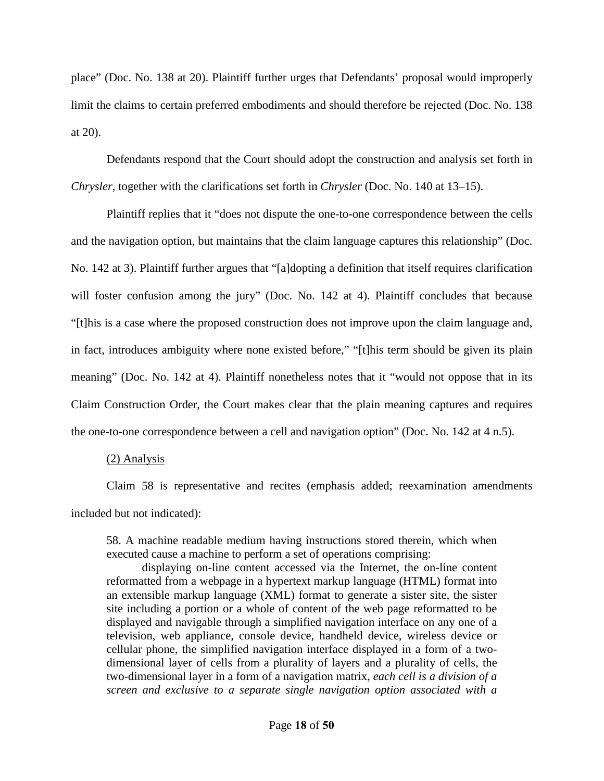place" (Doc. No. 138 at 20). Plaintiff further urges that Defendants' proposal would improperly limit the claims to certain preferred embodiments and should therefore be rejected (Doc. No. 138 at 20).

Defendants respond that the Court should adopt the construction and analysis set forth in *Chrysler*, together with the clarifications set forth in *Chrysler* (Doc. No. 140 at 13–15).

Plaintiff replies that it "does not dispute the one-to-one correspondence between the cells and the navigation option, but maintains that the claim language captures this relationship" (Doc. No. 142 at 3). Plaintiff further argues that "[a]dopting a definition that itself requires clarification will foster confusion among the jury" (Doc. No. 142 at 4). Plaintiff concludes that because "[t]his is a case where the proposed construction does not improve upon the claim language and, in fact, introduces ambiguity where none existed before," "[t]his term should be given its plain meaning" (Doc. No. 142 at 4). Plaintiff nonetheless notes that it "would not oppose that in its Claim Construction Order, the Court makes clear that the plain meaning captures and requires the one-to-one correspondence between a cell and navigation option" (Doc. No. 142 at 4 n.5).

#### (2) Analysis

Claim 58 is representative and recites (emphasis added; reexamination amendments included but not indicated):

58. A machine readable medium having instructions stored therein, which when executed cause a machine to perform a set of operations comprising:

displaying on-line content accessed via the Internet, the on-line content reformatted from a webpage in a hypertext markup language (HTML) format into an extensible markup language (XML) format to generate a sister site, the sister site including a portion or a whole of content of the web page reformatted to be displayed and navigable through a simplified navigation interface on any one of a television, web appliance, console device, handheld device, wireless device or cellular phone, the simplified navigation interface displayed in a form of a twodimensional layer of cells from a plurality of layers and a plurality of cells, the two-dimensional layer in a form of a navigation matrix, *each cell is a division of a screen and exclusive to a separate single navigation option associated with a*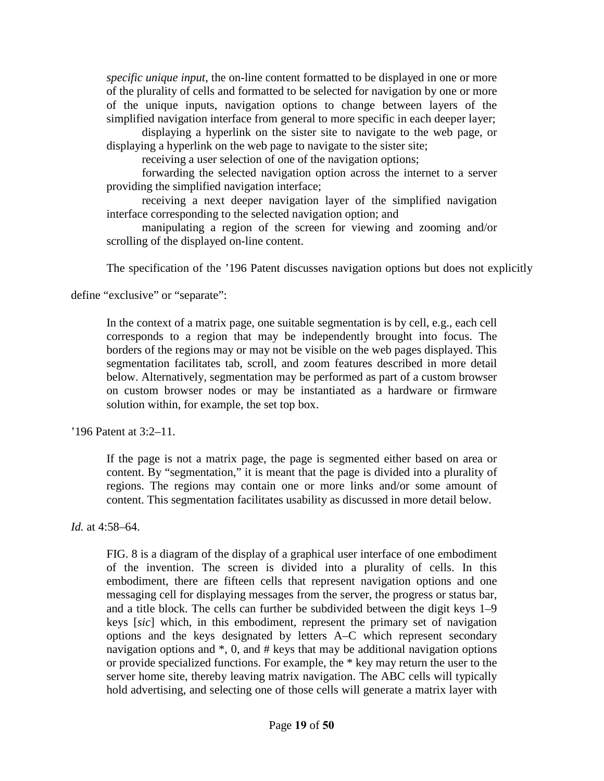*specific unique input*, the on-line content formatted to be displayed in one or more of the plurality of cells and formatted to be selected for navigation by one or more of the unique inputs, navigation options to change between layers of the simplified navigation interface from general to more specific in each deeper layer;

displaying a hyperlink on the sister site to navigate to the web page, or displaying a hyperlink on the web page to navigate to the sister site;

receiving a user selection of one of the navigation options;

forwarding the selected navigation option across the internet to a server providing the simplified navigation interface;

receiving a next deeper navigation layer of the simplified navigation interface corresponding to the selected navigation option; and

manipulating a region of the screen for viewing and zooming and/or scrolling of the displayed on-line content.

The specification of the '196 Patent discusses navigation options but does not explicitly

define "exclusive" or "separate":

In the context of a matrix page, one suitable segmentation is by cell, e.g., each cell corresponds to a region that may be independently brought into focus. The borders of the regions may or may not be visible on the web pages displayed. This segmentation facilitates tab, scroll, and zoom features described in more detail below. Alternatively, segmentation may be performed as part of a custom browser on custom browser nodes or may be instantiated as a hardware or firmware solution within, for example, the set top box.

'196 Patent at 3:2–11.

If the page is not a matrix page, the page is segmented either based on area or content. By "segmentation," it is meant that the page is divided into a plurality of regions. The regions may contain one or more links and/or some amount of content. This segmentation facilitates usability as discussed in more detail below.

*Id.* at 4:58–64.

FIG. 8 is a diagram of the display of a graphical user interface of one embodiment of the invention. The screen is divided into a plurality of cells. In this embodiment, there are fifteen cells that represent navigation options and one messaging cell for displaying messages from the server, the progress or status bar, and a title block. The cells can further be subdivided between the digit keys 1–9 keys [*sic*] which, in this embodiment, represent the primary set of navigation options and the keys designated by letters A–C which represent secondary navigation options and \*, 0, and # keys that may be additional navigation options or provide specialized functions. For example, the \* key may return the user to the server home site, thereby leaving matrix navigation. The ABC cells will typically hold advertising, and selecting one of those cells will generate a matrix layer with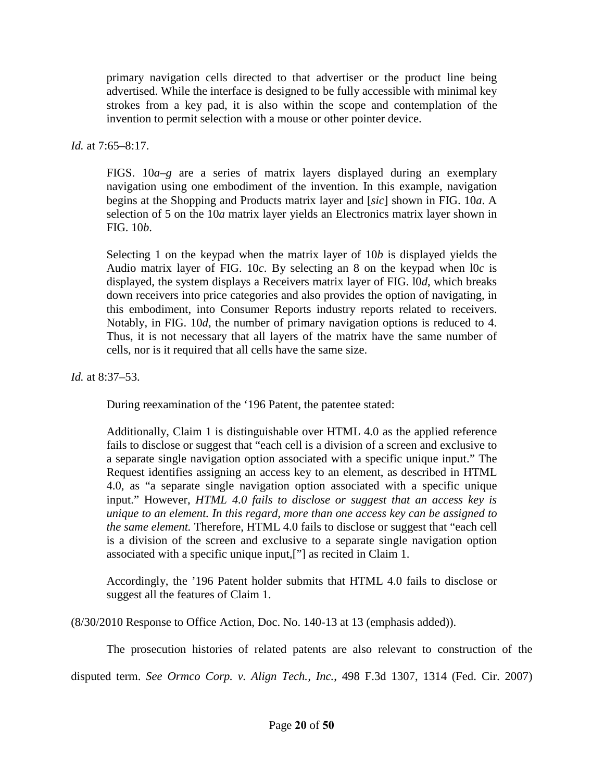primary navigation cells directed to that advertiser or the product line being advertised. While the interface is designed to be fully accessible with minimal key strokes from a key pad, it is also within the scope and contemplation of the invention to permit selection with a mouse or other pointer device.

*Id.* at 7:65–8:17.

FIGS. 10*a–g* are a series of matrix layers displayed during an exemplary navigation using one embodiment of the invention. In this example, navigation begins at the Shopping and Products matrix layer and [*sic*] shown in FIG. 10*a*. A selection of 5 on the 10*a* matrix layer yields an Electronics matrix layer shown in FIG. 10*b*.

Selecting 1 on the keypad when the matrix layer of 10*b* is displayed yields the Audio matrix layer of FIG. 10*c*. By selecting an 8 on the keypad when l0*c* is displayed, the system displays a Receivers matrix layer of FIG. l0*d*, which breaks down receivers into price categories and also provides the option of navigating, in this embodiment, into Consumer Reports industry reports related to receivers. Notably, in FIG. 10*d*, the number of primary navigation options is reduced to 4. Thus, it is not necessary that all layers of the matrix have the same number of cells, nor is it required that all cells have the same size.

*Id.* at 8:37–53.

During reexamination of the '196 Patent, the patentee stated:

Additionally, Claim 1 is distinguishable over HTML 4.0 as the applied reference fails to disclose or suggest that "each cell is a division of a screen and exclusive to a separate single navigation option associated with a specific unique input." The Request identifies assigning an access key to an element, as described in HTML 4.0, as "a separate single navigation option associated with a specific unique input." However, *HTML 4.0 fails to disclose or suggest that an access key is unique to an element. In this regard, more than one access key can be assigned to the same element.* Therefore, HTML 4.0 fails to disclose or suggest that "each cell is a division of the screen and exclusive to a separate single navigation option associated with a specific unique input,["] as recited in Claim 1.

Accordingly, the '196 Patent holder submits that HTML 4.0 fails to disclose or suggest all the features of Claim 1.

(8/30/2010 Response to Office Action, Doc. No. 140-13 at 13 (emphasis added)).

The prosecution histories of related patents are also relevant to construction of the

disputed term. *See Ormco Corp. v. Align Tech., Inc.*, 498 F.3d 1307, 1314 (Fed. Cir. 2007)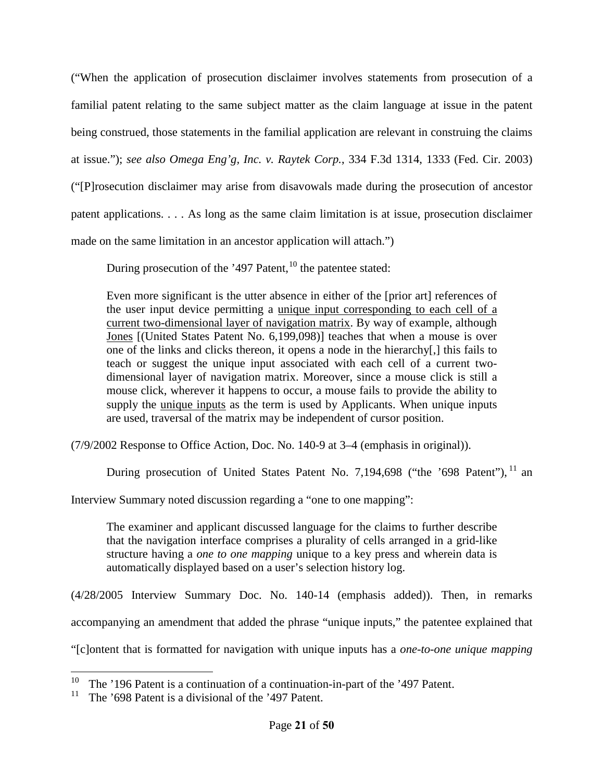("When the application of prosecution disclaimer involves statements from prosecution of a familial patent relating to the same subject matter as the claim language at issue in the patent being construed, those statements in the familial application are relevant in construing the claims at issue."); *see also Omega Eng'g, Inc. v. Raytek Corp.*, 334 F.3d 1314, 1333 (Fed. Cir. 2003) ("[P]rosecution disclaimer may arise from disavowals made during the prosecution of ancestor patent applications. . . . As long as the same claim limitation is at issue, prosecution disclaimer made on the same limitation in an ancestor application will attach.")

During prosecution of the '497 Patent, $^{10}$  $^{10}$  $^{10}$  the patentee stated:

Even more significant is the utter absence in either of the [prior art] references of the user input device permitting a unique input corresponding to each cell of a current two-dimensional layer of navigation matrix. By way of example, although Jones [(United States Patent No. 6,199,098)] teaches that when a mouse is over one of the links and clicks thereon, it opens a node in the hierarchy[,] this fails to teach or suggest the unique input associated with each cell of a current twodimensional layer of navigation matrix. Moreover, since a mouse click is still a mouse click, wherever it happens to occur, a mouse fails to provide the ability to supply the unique inputs as the term is used by Applicants. When unique inputs are used, traversal of the matrix may be independent of cursor position.

(7/9/2002 Response to Office Action, Doc. No. 140-9 at 3–4 (emphasis in original)).

During prosecution of United States Patent No. 7,194,698 ("the '698 Patent"), <sup>[11](#page-20-0)</sup> an

Interview Summary noted discussion regarding a "one to one mapping":

The examiner and applicant discussed language for the claims to further describe that the navigation interface comprises a plurality of cells arranged in a grid-like structure having a *one to one mapping* unique to a key press and wherein data is automatically displayed based on a user's selection history log.

(4/28/2005 Interview Summary Doc. No. 140-14 (emphasis added)). Then, in remarks accompanying an amendment that added the phrase "unique inputs," the patentee explained that

"[c]ontent that is formatted for navigation with unique inputs has a *one-to-one unique mapping*

 $\frac{1}{10}$ The '196 Patent is a continuation of a continuation-in-part of the '497 Patent.

<span id="page-20-0"></span><sup>11</sup> The '698 Patent is a divisional of the '497 Patent.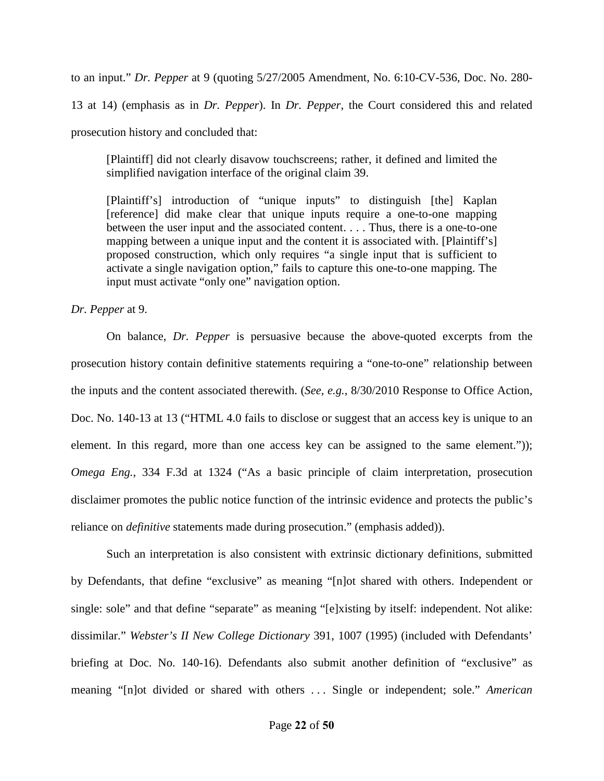to an input." *Dr. Pepper* at 9 (quoting 5/27/2005 Amendment, No. 6:10-CV-536, Doc. No. 280- 13 at 14) (emphasis as in *Dr. Pepper*). In *Dr. Pepper*, the Court considered this and related prosecution history and concluded that:

[Plaintiff] did not clearly disavow touchscreens; rather, it defined and limited the simplified navigation interface of the original claim 39.

[Plaintiff's] introduction of "unique inputs" to distinguish [the] Kaplan [reference] did make clear that unique inputs require a one-to-one mapping between the user input and the associated content. . . . Thus, there is a one-to-one mapping between a unique input and the content it is associated with. [Plaintiff's] proposed construction, which only requires "a single input that is sufficient to activate a single navigation option," fails to capture this one-to-one mapping. The input must activate "only one" navigation option.

*Dr. Pepper* at 9.

On balance, *Dr. Pepper* is persuasive because the above-quoted excerpts from the prosecution history contain definitive statements requiring a "one-to-one" relationship between the inputs and the content associated therewith. (*See, e.g.*, 8/30/2010 Response to Office Action, Doc. No. 140-13 at 13 ("HTML 4.0 fails to disclose or suggest that an access key is unique to an element. In this regard, more than one access key can be assigned to the same element.")); *Omega Eng.*, 334 F.3d at 1324 ("As a basic principle of claim interpretation, prosecution disclaimer promotes the public notice function of the intrinsic evidence and protects the public's reliance on *definitive* statements made during prosecution." (emphasis added)).

Such an interpretation is also consistent with extrinsic dictionary definitions, submitted by Defendants, that define "exclusive" as meaning "[n]ot shared with others. Independent or single: sole" and that define "separate" as meaning "[e]xisting by itself: independent. Not alike: dissimilar." *Webster's II New College Dictionary* 391, 1007 (1995) (included with Defendants' briefing at Doc. No. 140-16). Defendants also submit another definition of "exclusive" as meaning "[n]ot divided or shared with others . . . Single or independent; sole." *American*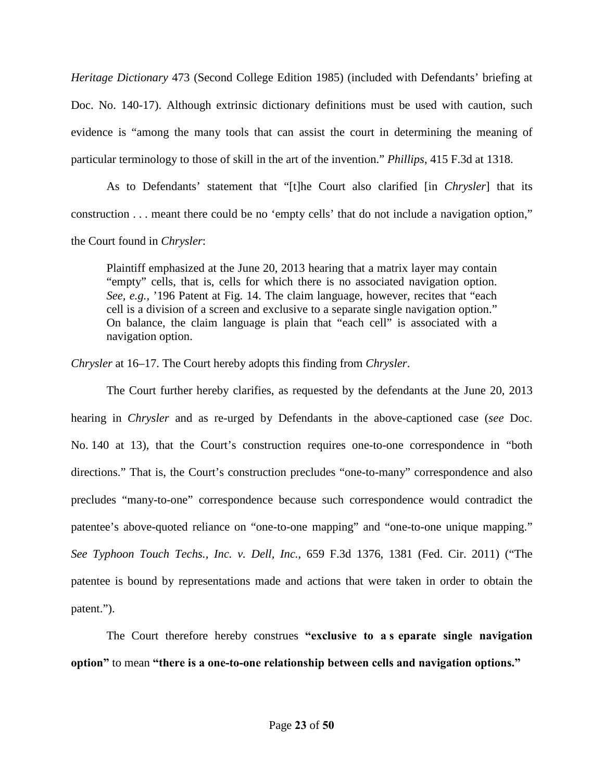*Heritage Dictionary* 473 (Second College Edition 1985) (included with Defendants' briefing at Doc. No. 140-17). Although extrinsic dictionary definitions must be used with caution, such evidence is "among the many tools that can assist the court in determining the meaning of particular terminology to those of skill in the art of the invention." *Phillips*, 415 F.3d at 1318.

As to Defendants' statement that "[t]he Court also clarified [in *Chrysler*] that its construction . . . meant there could be no 'empty cells' that do not include a navigation option," the Court found in *Chrysler*:

Plaintiff emphasized at the June 20, 2013 hearing that a matrix layer may contain "empty" cells, that is, cells for which there is no associated navigation option. *See, e.g.,* '196 Patent at Fig. 14. The claim language, however, recites that "each cell is a division of a screen and exclusive to a separate single navigation option." On balance, the claim language is plain that "each cell" is associated with a navigation option.

*Chrysler* at 16–17. The Court hereby adopts this finding from *Chrysler*.

The Court further hereby clarifies, as requested by the defendants at the June 20, 2013 hearing in *Chrysler* and as re-urged by Defendants in the above-captioned case (*see* Doc. No. 140 at 13), that the Court's construction requires one-to-one correspondence in "both directions." That is, the Court's construction precludes "one-to-many" correspondence and also precludes "many-to-one" correspondence because such correspondence would contradict the patentee's above-quoted reliance on "one-to-one mapping" and "one-to-one unique mapping." *See Typhoon Touch Techs., Inc. v. Dell, Inc.*, 659 F.3d 1376, 1381 (Fed. Cir. 2011) ("The patentee is bound by representations made and actions that were taken in order to obtain the patent.").

The Court therefore hereby construes **"exclusive to a s eparate single navigation option"** to mean **"there is a one-to-one relationship between cells and navigation options."**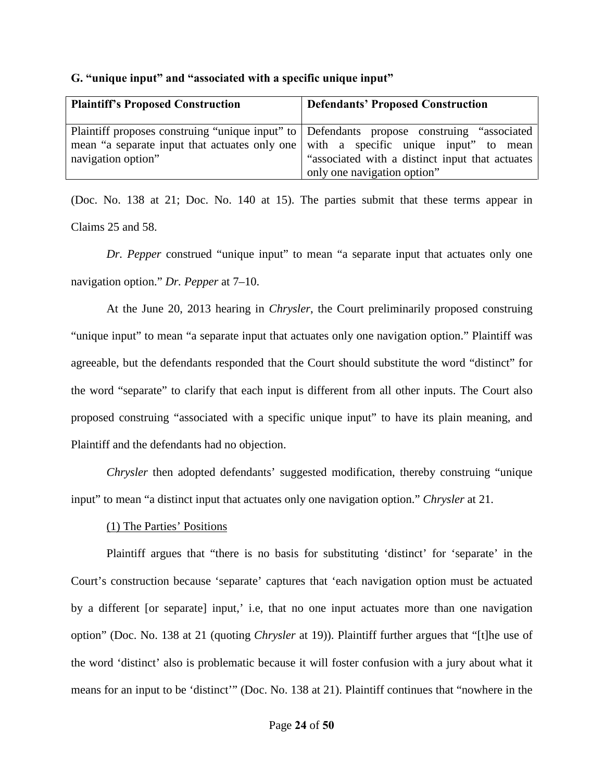<span id="page-23-0"></span>

|  |  |  |  | G. "unique input" and "associated with a specific unique input" |  |  |  |  |
|--|--|--|--|-----------------------------------------------------------------|--|--|--|--|
|--|--|--|--|-----------------------------------------------------------------|--|--|--|--|

| <b>Plaintiff's Proposed Construction</b>                                                                                                                                                                | <b>Defendants' Proposed Construction</b>                                       |
|---------------------------------------------------------------------------------------------------------------------------------------------------------------------------------------------------------|--------------------------------------------------------------------------------|
| Plaintiff proposes construing "unique input" to Defendants propose construing "associated"<br>mean "a separate input that actuates only one with a specific unique input" to mean<br>navigation option" | "associated with a distinct input that actuates<br>only one navigation option" |

(Doc. No. 138 at 21; Doc. No. 140 at 15). The parties submit that these terms appear in Claims 25 and 58.

*Dr. Pepper* construed "unique input" to mean "a separate input that actuates only one navigation option." *Dr. Pepper* at 7–10.

At the June 20, 2013 hearing in *Chrysler*, the Court preliminarily proposed construing "unique input" to mean "a separate input that actuates only one navigation option." Plaintiff was agreeable, but the defendants responded that the Court should substitute the word "distinct" for the word "separate" to clarify that each input is different from all other inputs. The Court also proposed construing "associated with a specific unique input" to have its plain meaning, and Plaintiff and the defendants had no objection.

*Chrysler* then adopted defendants' suggested modification, thereby construing "unique input" to mean "a distinct input that actuates only one navigation option." *Chrysler* at 21.

## (1) The Parties' Positions

Plaintiff argues that "there is no basis for substituting 'distinct' for 'separate' in the Court's construction because 'separate' captures that 'each navigation option must be actuated by a different [or separate] input,' i.e, that no one input actuates more than one navigation option" (Doc. No. 138 at 21 (quoting *Chrysler* at 19)). Plaintiff further argues that "[t]he use of the word 'distinct' also is problematic because it will foster confusion with a jury about what it means for an input to be 'distinct'" (Doc. No. 138 at 21). Plaintiff continues that "nowhere in the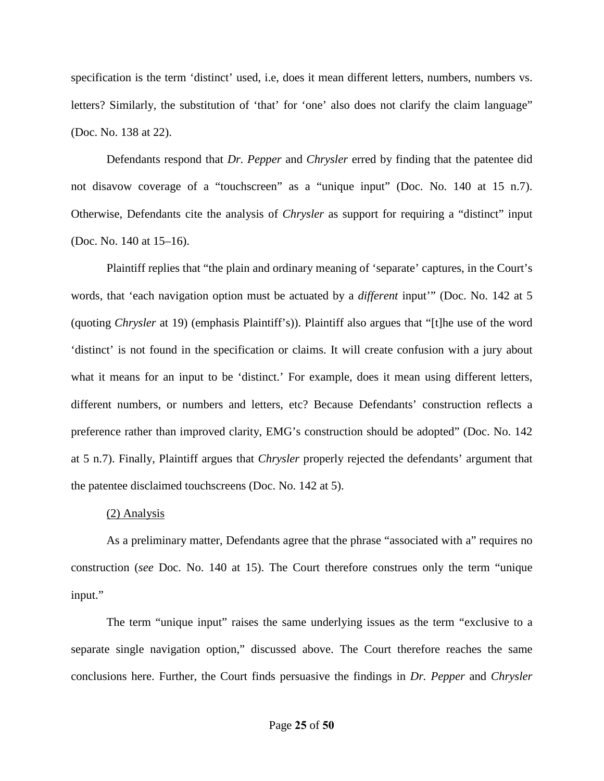specification is the term 'distinct' used, i.e, does it mean different letters, numbers, numbers vs. letters? Similarly, the substitution of 'that' for 'one' also does not clarify the claim language" (Doc. No. 138 at 22).

Defendants respond that *Dr. Pepper* and *Chrysler* erred by finding that the patentee did not disavow coverage of a "touchscreen" as a "unique input" (Doc. No. 140 at 15 n.7). Otherwise, Defendants cite the analysis of *Chrysler* as support for requiring a "distinct" input (Doc. No. 140 at 15–16).

Plaintiff replies that "the plain and ordinary meaning of 'separate' captures, in the Court's words, that 'each navigation option must be actuated by a *different* input'" (Doc. No. 142 at 5 (quoting *Chrysler* at 19) (emphasis Plaintiff's)). Plaintiff also argues that "[t]he use of the word 'distinct' is not found in the specification or claims. It will create confusion with a jury about what it means for an input to be 'distinct.' For example, does it mean using different letters, different numbers, or numbers and letters, etc? Because Defendants' construction reflects a preference rather than improved clarity, EMG's construction should be adopted" (Doc. No. 142 at 5 n.7). Finally, Plaintiff argues that *Chrysler* properly rejected the defendants' argument that the patentee disclaimed touchscreens (Doc. No. 142 at 5).

## (2) Analysis

As a preliminary matter, Defendants agree that the phrase "associated with a" requires no construction (*see* Doc. No. 140 at 15). The Court therefore construes only the term "unique input."

The term "unique input" raises the same underlying issues as the term "exclusive to a separate single navigation option," discussed above. The Court therefore reaches the same conclusions here. Further, the Court finds persuasive the findings in *Dr. Pepper* and *Chrysler*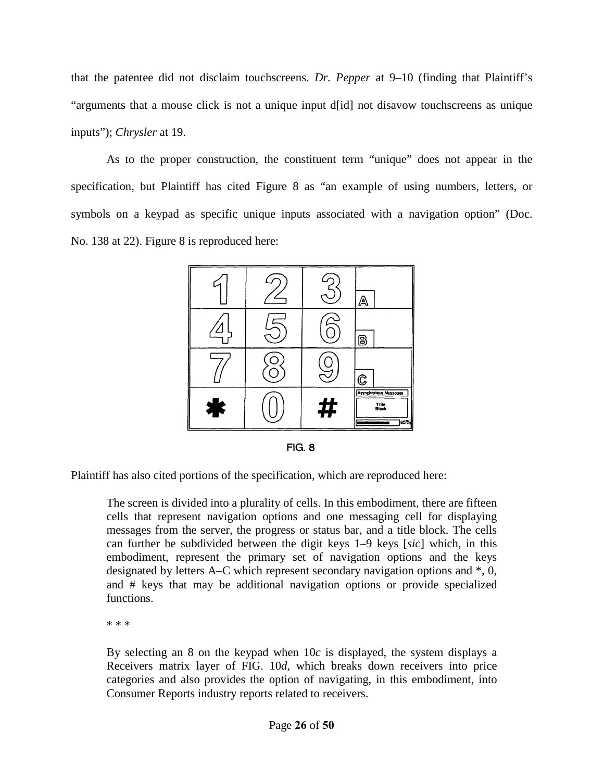that the patentee did not disclaim touchscreens. *Dr. Pepper* at 9–10 (finding that Plaintiff's "arguments that a mouse click is not a unique input d[id] not disavow touchscreens as unique inputs"); *Chrysler* at 19.

As to the proper construction, the constituent term "unique" does not appear in the specification, but Plaintiff has cited Figure 8 as "an example of using numbers, letters, or symbols on a keypad as specific unique inputs associated with a navigation option" (Doc. No. 138 at 22). Figure 8 is reproduced here:



**FIG. 8** 

Plaintiff has also cited portions of the specification, which are reproduced here:

The screen is divided into a plurality of cells. In this embodiment, there are fifteen cells that represent navigation options and one messaging cell for displaying messages from the server, the progress or status bar, and a title block. The cells can further be subdivided between the digit keys 1–9 keys [*sic*] which, in this embodiment, represent the primary set of navigation options and the keys designated by letters A–C which represent secondary navigation options and \*, 0, and # keys that may be additional navigation options or provide specialized functions.

\* \* \*

By selecting an 8 on the keypad when 10*c* is displayed, the system displays a Receivers matrix layer of FIG. 10*d*, which breaks down receivers into price categories and also provides the option of navigating, in this embodiment, into Consumer Reports industry reports related to receivers.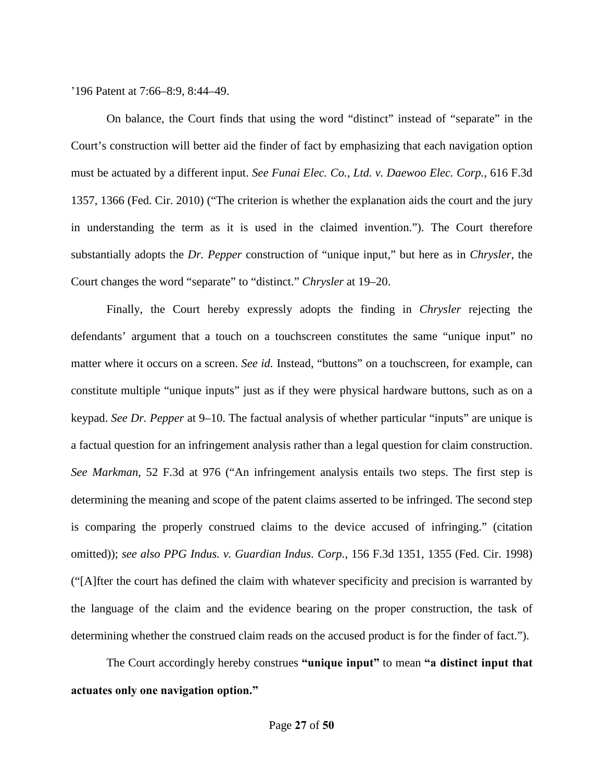'196 Patent at 7:66–8:9, 8:44–49.

On balance, the Court finds that using the word "distinct" instead of "separate" in the Court's construction will better aid the finder of fact by emphasizing that each navigation option must be actuated by a different input. *See Funai Elec. Co., Ltd. v. Daewoo Elec. Corp.*, 616 F.3d 1357, 1366 (Fed. Cir. 2010) ("The criterion is whether the explanation aids the court and the jury in understanding the term as it is used in the claimed invention."). The Court therefore substantially adopts the *Dr. Pepper* construction of "unique input," but here as in *Chrysler*, the Court changes the word "separate" to "distinct." *Chrysler* at 19–20.

Finally, the Court hereby expressly adopts the finding in *Chrysler* rejecting the defendants' argument that a touch on a touchscreen constitutes the same "unique input" no matter where it occurs on a screen. *See id.* Instead, "buttons" on a touchscreen, for example, can constitute multiple "unique inputs" just as if they were physical hardware buttons, such as on a keypad. *See Dr. Pepper* at 9–10. The factual analysis of whether particular "inputs" are unique is a factual question for an infringement analysis rather than a legal question for claim construction. *See Markman*, 52 F.3d at 976 ("An infringement analysis entails two steps. The first step is determining the meaning and scope of the patent claims asserted to be infringed. The second step is comparing the properly construed claims to the device accused of infringing." (citation omitted)); *see also PPG Indus. v. Guardian Indus. Corp.*, 156 F.3d 1351, 1355 (Fed. Cir. 1998) ("[A]fter the court has defined the claim with whatever specificity and precision is warranted by the language of the claim and the evidence bearing on the proper construction, the task of determining whether the construed claim reads on the accused product is for the finder of fact.").

The Court accordingly hereby construes **"unique input"** to mean **"a distinct input that actuates only one navigation option."**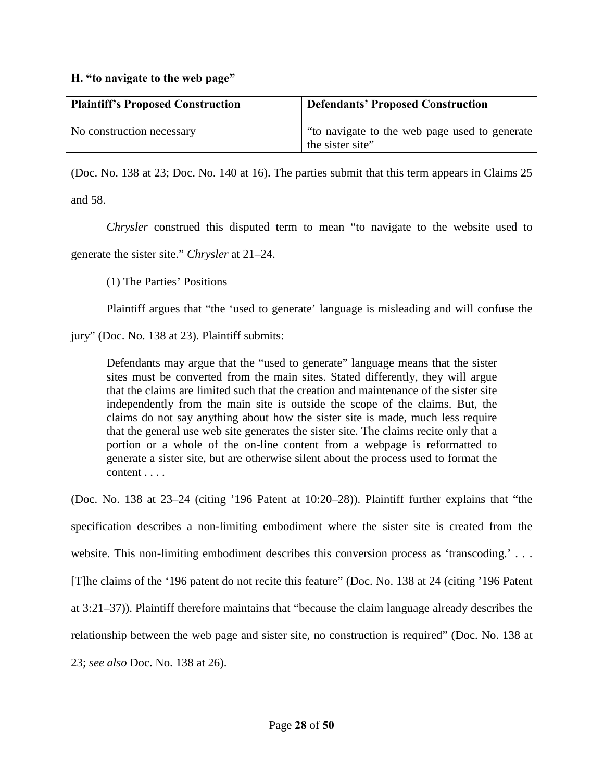#### <span id="page-27-0"></span>**H. "to navigate to the web page"**

| <b>Plaintiff's Proposed Construction</b> | <b>Defendants' Proposed Construction</b>                           |
|------------------------------------------|--------------------------------------------------------------------|
| No construction necessary                | "to navigate to the web page used to generate"<br>the sister site" |

(Doc. No. 138 at 23; Doc. No. 140 at 16). The parties submit that this term appears in Claims 25 and 58.

*Chrysler* construed this disputed term to mean "to navigate to the website used to generate the sister site." *Chrysler* at 21–24.

## (1) The Parties' Positions

Plaintiff argues that "the 'used to generate' language is misleading and will confuse the

jury" (Doc. No. 138 at 23). Plaintiff submits:

Defendants may argue that the "used to generate" language means that the sister sites must be converted from the main sites. Stated differently, they will argue that the claims are limited such that the creation and maintenance of the sister site independently from the main site is outside the scope of the claims. But, the claims do not say anything about how the sister site is made, much less require that the general use web site generates the sister site. The claims recite only that a portion or a whole of the on-line content from a webpage is reformatted to generate a sister site, but are otherwise silent about the process used to format the content . . . .

(Doc. No. 138 at 23–24 (citing '196 Patent at 10:20–28)). Plaintiff further explains that "the specification describes a non-limiting embodiment where the sister site is created from the website. This non-limiting embodiment describes this conversion process as 'transcoding.' ... [T]he claims of the '196 patent do not recite this feature" (Doc. No. 138 at 24 (citing '196 Patent at 3:21–37)). Plaintiff therefore maintains that "because the claim language already describes the relationship between the web page and sister site, no construction is required" (Doc. No. 138 at 23; *see also* Doc. No. 138 at 26).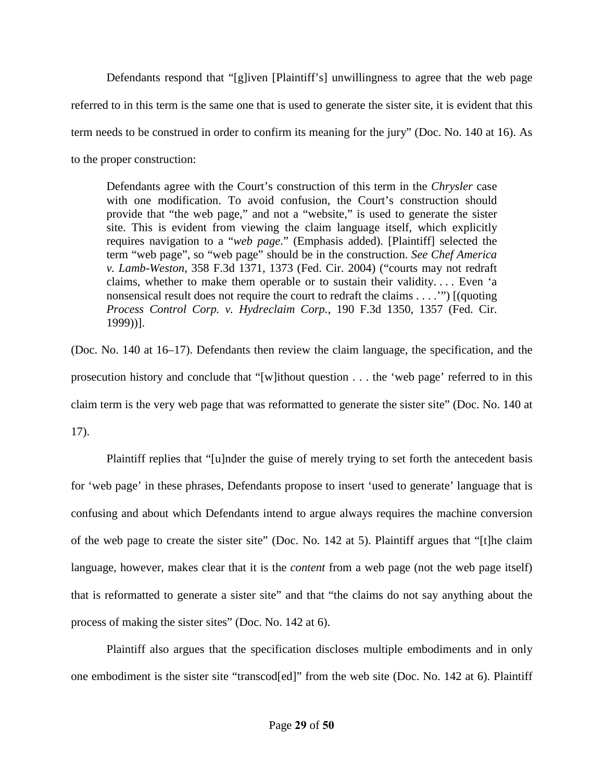Defendants respond that "[g]iven [Plaintiff's] unwillingness to agree that the web page referred to in this term is the same one that is used to generate the sister site, it is evident that this term needs to be construed in order to confirm its meaning for the jury" (Doc. No. 140 at 16). As to the proper construction:

Defendants agree with the Court's construction of this term in the *Chrysler* case with one modification. To avoid confusion, the Court's construction should provide that "the web page," and not a "website," is used to generate the sister site. This is evident from viewing the claim language itself, which explicitly requires navigation to a "*web page*." (Emphasis added). [Plaintiff] selected the term "web page", so "web page" should be in the construction. *See Chef America v. Lamb-Weston*, 358 F.3d 1371, 1373 (Fed. Cir. 2004) ("courts may not redraft claims, whether to make them operable or to sustain their validity. . . . Even 'a nonsensical result does not require the court to redraft the claims . . . .'") [(quoting *Process Control Corp. v. Hydreclaim Corp.*, 190 F.3d 1350, 1357 (Fed. Cir. 1999))].

(Doc. No. 140 at 16–17). Defendants then review the claim language, the specification, and the prosecution history and conclude that "[w]ithout question . . . the 'web page' referred to in this claim term is the very web page that was reformatted to generate the sister site" (Doc. No. 140 at 17).

Plaintiff replies that "[u]nder the guise of merely trying to set forth the antecedent basis for 'web page' in these phrases, Defendants propose to insert 'used to generate' language that is confusing and about which Defendants intend to argue always requires the machine conversion of the web page to create the sister site" (Doc. No. 142 at 5). Plaintiff argues that "[t]he claim language, however, makes clear that it is the *content* from a web page (not the web page itself) that is reformatted to generate a sister site" and that "the claims do not say anything about the process of making the sister sites" (Doc. No. 142 at 6).

Plaintiff also argues that the specification discloses multiple embodiments and in only one embodiment is the sister site "transcod[ed]" from the web site (Doc. No. 142 at 6). Plaintiff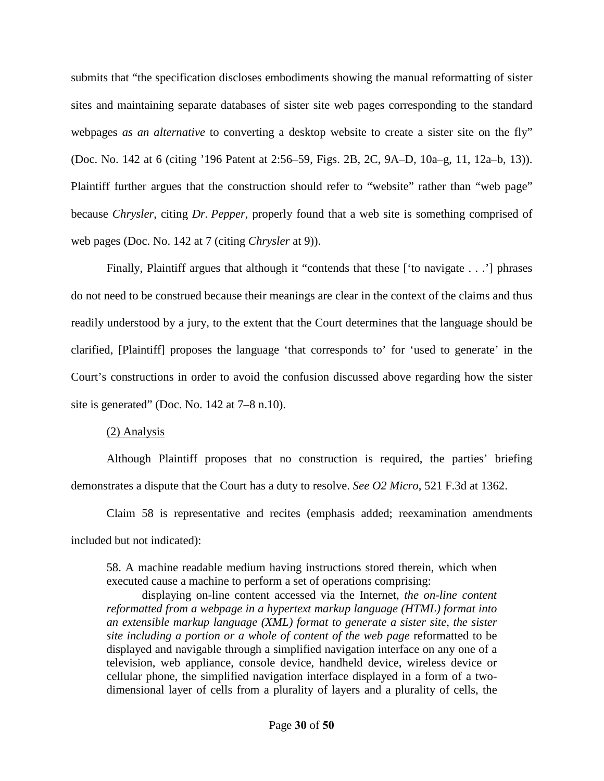submits that "the specification discloses embodiments showing the manual reformatting of sister sites and maintaining separate databases of sister site web pages corresponding to the standard webpages *as an alternative* to converting a desktop website to create a sister site on the fly" (Doc. No. 142 at 6 (citing '196 Patent at 2:56–59, Figs. 2B, 2C, 9A–D, 10a–g, 11, 12a–b, 13)). Plaintiff further argues that the construction should refer to "website" rather than "web page" because *Chrysler*, citing *Dr. Pepper*, properly found that a web site is something comprised of web pages (Doc. No. 142 at 7 (citing *Chrysler* at 9)).

Finally, Plaintiff argues that although it "contends that these ['to navigate . . .'] phrases do not need to be construed because their meanings are clear in the context of the claims and thus readily understood by a jury, to the extent that the Court determines that the language should be clarified, [Plaintiff] proposes the language 'that corresponds to' for 'used to generate' in the Court's constructions in order to avoid the confusion discussed above regarding how the sister site is generated" (Doc. No. 142 at 7–8 n.10).

## (2) Analysis

Although Plaintiff proposes that no construction is required, the parties' briefing demonstrates a dispute that the Court has a duty to resolve. *See O2 Micro*, 521 F.3d at 1362.

Claim 58 is representative and recites (emphasis added; reexamination amendments included but not indicated):

58. A machine readable medium having instructions stored therein, which when executed cause a machine to perform a set of operations comprising:

displaying on-line content accessed via the Internet, *the on-line content reformatted from a webpage in a hypertext markup language (HTML) format into an extensible markup language (XML) format to generate a sister site, the sister site including a portion or a whole of content of the web page* reformatted to be displayed and navigable through a simplified navigation interface on any one of a television, web appliance, console device, handheld device, wireless device or cellular phone, the simplified navigation interface displayed in a form of a twodimensional layer of cells from a plurality of layers and a plurality of cells, the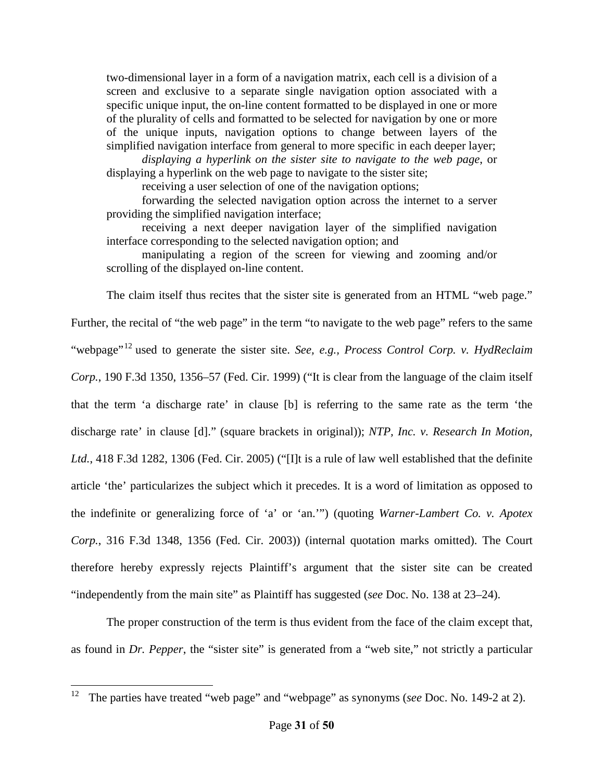two-dimensional layer in a form of a navigation matrix, each cell is a division of a screen and exclusive to a separate single navigation option associated with a specific unique input, the on-line content formatted to be displayed in one or more of the plurality of cells and formatted to be selected for navigation by one or more of the unique inputs, navigation options to change between layers of the simplified navigation interface from general to more specific in each deeper layer;

*displaying a hyperlink on the sister site to navigate to the web page*, or displaying a hyperlink on the web page to navigate to the sister site;

receiving a user selection of one of the navigation options;

forwarding the selected navigation option across the internet to a server providing the simplified navigation interface;

receiving a next deeper navigation layer of the simplified navigation interface corresponding to the selected navigation option; and

manipulating a region of the screen for viewing and zooming and/or scrolling of the displayed on-line content.

The claim itself thus recites that the sister site is generated from an HTML "web page."

Further, the recital of "the web page" in the term "to navigate to the web page" refers to the same "webpage"[12](#page-20-0) used to generate the sister site. *See, e.g., Process Control Corp. v. HydReclaim Corp.*, 190 F.3d 1350, 1356–57 (Fed. Cir. 1999) ("It is clear from the language of the claim itself that the term 'a discharge rate' in clause [b] is referring to the same rate as the term 'the discharge rate' in clause [d]." (square brackets in original)); *NTP, Inc. v. Research In Motion, Ltd.*, 418 F.3d 1282, 1306 (Fed. Cir. 2005) ("[I]t is a rule of law well established that the definite article 'the' particularizes the subject which it precedes. It is a word of limitation as opposed to the indefinite or generalizing force of 'a' or 'an.'") (quoting *Warner-Lambert Co. v. Apotex Corp.*, 316 F.3d 1348, 1356 (Fed. Cir. 2003)) (internal quotation marks omitted). The Court therefore hereby expressly rejects Plaintiff's argument that the sister site can be created "independently from the main site" as Plaintiff has suggested (*see* Doc. No. 138 at 23–24).

The proper construction of the term is thus evident from the face of the claim except that, as found in *Dr. Pepper*, the "sister site" is generated from a "web site," not strictly a particular

 $\frac{1}{12}$ The parties have treated "web page" and "webpage" as synonyms (*see* Doc. No. 149-2 at 2).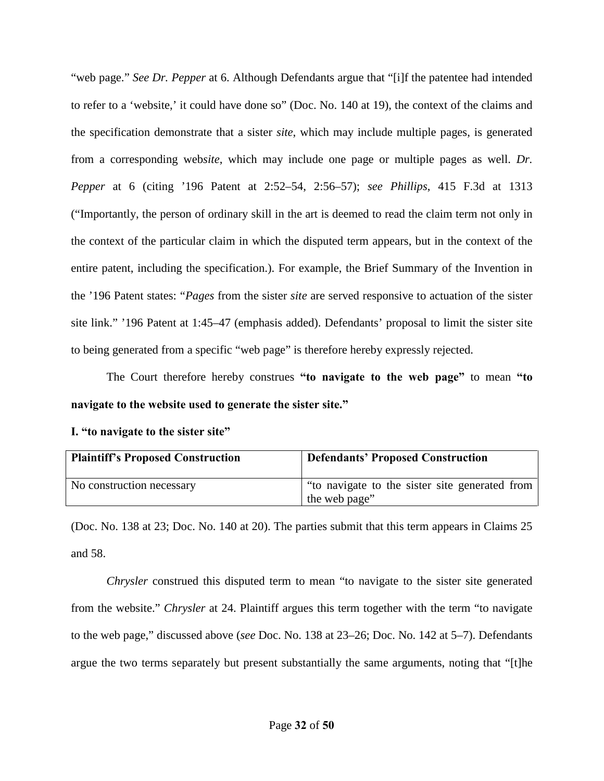"web page." *See Dr. Pepper* at 6. Although Defendants argue that "[i]f the patentee had intended to refer to a 'website,' it could have done so" (Doc. No. 140 at 19), the context of the claims and the specification demonstrate that a sister *site*, which may include multiple pages, is generated from a corresponding web*site*, which may include one page or multiple pages as well. *Dr. Pepper* at 6 (citing '196 Patent at 2:52–54, 2:56–57); *see Phillips*, 415 F.3d at 1313 ("Importantly, the person of ordinary skill in the art is deemed to read the claim term not only in the context of the particular claim in which the disputed term appears, but in the context of the entire patent, including the specification.). For example, the Brief Summary of the Invention in the '196 Patent states: "*Pages* from the sister *site* are served responsive to actuation of the sister site link." '196 Patent at 1:45–47 (emphasis added). Defendants' proposal to limit the sister site to being generated from a specific "web page" is therefore hereby expressly rejected.

 The Court therefore hereby construes **"to navigate to the web page"** to mean **"to navigate to the website used to generate the sister site."**

<span id="page-31-0"></span>

|  |  | I. "to navigate to the sister site" |  |  |  |  |  |
|--|--|-------------------------------------|--|--|--|--|--|
|--|--|-------------------------------------|--|--|--|--|--|

| <b>Plaintiff's Proposed Construction</b> | <b>Defendants' Proposed Construction</b>                        |
|------------------------------------------|-----------------------------------------------------------------|
| No construction necessary                | "to navigate to the sister site generated from<br>the web page" |

(Doc. No. 138 at 23; Doc. No. 140 at 20). The parties submit that this term appears in Claims 25 and 58.

*Chrysler* construed this disputed term to mean "to navigate to the sister site generated from the website." *Chrysler* at 24. Plaintiff argues this term together with the term "to navigate to the web page," discussed above (*see* Doc. No. 138 at 23–26; Doc. No. 142 at 5–7). Defendants argue the two terms separately but present substantially the same arguments, noting that "[t]he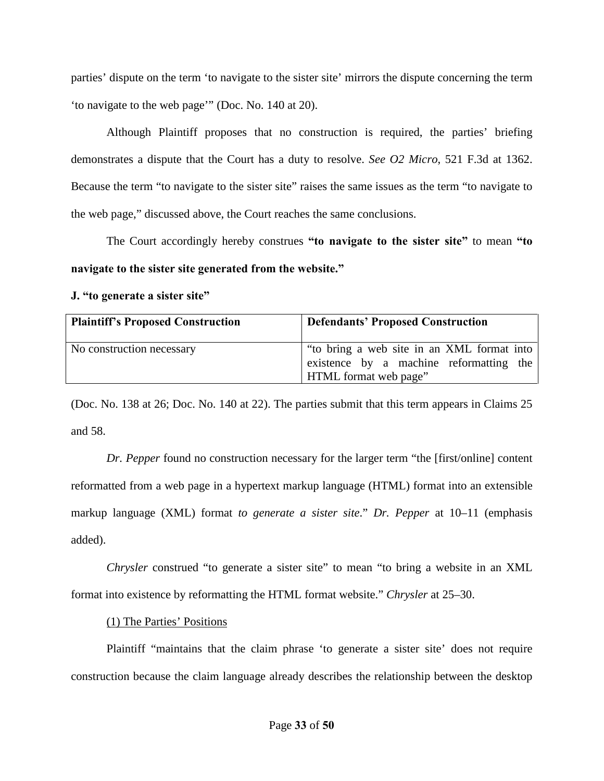parties' dispute on the term 'to navigate to the sister site' mirrors the dispute concerning the term 'to navigate to the web page'" (Doc. No. 140 at 20).

Although Plaintiff proposes that no construction is required, the parties' briefing demonstrates a dispute that the Court has a duty to resolve. *See O2 Micro*, 521 F.3d at 1362. Because the term "to navigate to the sister site" raises the same issues as the term "to navigate to the web page," discussed above, the Court reaches the same conclusions.

The Court accordingly hereby construes **"to navigate to the sister site"** to mean **"to navigate to the sister site generated from the website."**

<span id="page-32-0"></span>**J. "to generate a sister site"**

| <b>Plaintiff's Proposed Construction</b> | <b>Defendants' Proposed Construction</b>                                                                              |
|------------------------------------------|-----------------------------------------------------------------------------------------------------------------------|
| No construction necessary                | "to bring a web site in an XML format into<br>existence by a machine reformatting the<br><b>HTML</b> format web page" |

(Doc. No. 138 at 26; Doc. No. 140 at 22). The parties submit that this term appears in Claims 25 and 58.

*Dr. Pepper* found no construction necessary for the larger term "the [first/online] content reformatted from a web page in a hypertext markup language (HTML) format into an extensible markup language (XML) format *to generate a sister site*." *Dr. Pepper* at 10–11 (emphasis added).

*Chrysler* construed "to generate a sister site" to mean "to bring a website in an XML format into existence by reformatting the HTML format website." *Chrysler* at 25–30.

# (1) The Parties' Positions

Plaintiff "maintains that the claim phrase 'to generate a sister site' does not require construction because the claim language already describes the relationship between the desktop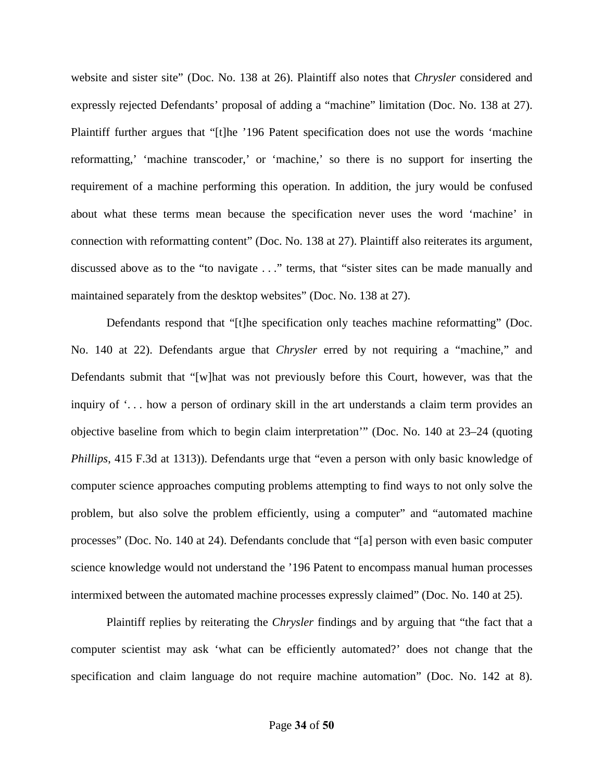website and sister site" (Doc. No. 138 at 26). Plaintiff also notes that *Chrysler* considered and expressly rejected Defendants' proposal of adding a "machine" limitation (Doc. No. 138 at 27). Plaintiff further argues that "[t]he '196 Patent specification does not use the words 'machine reformatting,' 'machine transcoder,' or 'machine,' so there is no support for inserting the requirement of a machine performing this operation. In addition, the jury would be confused about what these terms mean because the specification never uses the word 'machine' in connection with reformatting content" (Doc. No. 138 at 27). Plaintiff also reiterates its argument, discussed above as to the "to navigate . . ." terms, that "sister sites can be made manually and maintained separately from the desktop websites" (Doc. No. 138 at 27).

Defendants respond that "[t]he specification only teaches machine reformatting" (Doc. No. 140 at 22). Defendants argue that *Chrysler* erred by not requiring a "machine," and Defendants submit that "[w]hat was not previously before this Court, however, was that the inquiry of '. . . how a person of ordinary skill in the art understands a claim term provides an objective baseline from which to begin claim interpretation'" (Doc. No. 140 at 23–24 (quoting *Phillips*, 415 F.3d at 1313)). Defendants urge that "even a person with only basic knowledge of computer science approaches computing problems attempting to find ways to not only solve the problem, but also solve the problem efficiently, using a computer" and "automated machine processes" (Doc. No. 140 at 24). Defendants conclude that "[a] person with even basic computer science knowledge would not understand the '196 Patent to encompass manual human processes intermixed between the automated machine processes expressly claimed" (Doc. No. 140 at 25).

Plaintiff replies by reiterating the *Chrysler* findings and by arguing that "the fact that a computer scientist may ask 'what can be efficiently automated?' does not change that the specification and claim language do not require machine automation" (Doc. No. 142 at 8).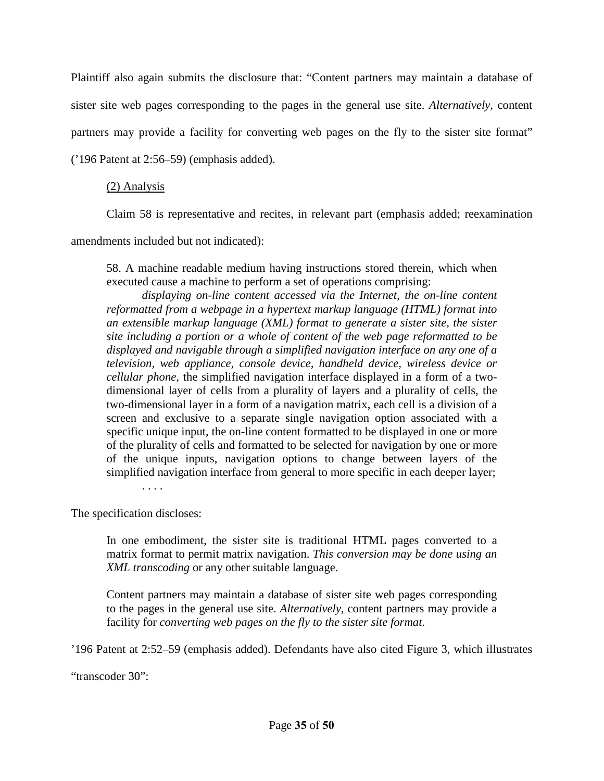Plaintiff also again submits the disclosure that: "Content partners may maintain a database of sister site web pages corresponding to the pages in the general use site. *Alternatively*, content partners may provide a facility for converting web pages on the fly to the sister site format" ('196 Patent at 2:56–59) (emphasis added).

## (2) Analysis

Claim 58 is representative and recites, in relevant part (emphasis added; reexamination

amendments included but not indicated):

58. A machine readable medium having instructions stored therein, which when executed cause a machine to perform a set of operations comprising:

*displaying on-line content accessed via the Internet, the on-line content reformatted from a webpage in a hypertext markup language (HTML) format into an extensible markup language (XML) format to generate a sister site, the sister site including a portion or a whole of content of the web page reformatted to be displayed and navigable through a simplified navigation interface on any one of a television, web appliance, console device, handheld device, wireless device or cellular phone,* the simplified navigation interface displayed in a form of a twodimensional layer of cells from a plurality of layers and a plurality of cells, the two-dimensional layer in a form of a navigation matrix, each cell is a division of a screen and exclusive to a separate single navigation option associated with a specific unique input, the on-line content formatted to be displayed in one or more of the plurality of cells and formatted to be selected for navigation by one or more of the unique inputs, navigation options to change between layers of the simplified navigation interface from general to more specific in each deeper layer; . . . .

The specification discloses:

In one embodiment, the sister site is traditional HTML pages converted to a matrix format to permit matrix navigation. *This conversion may be done using an XML transcoding* or any other suitable language.

Content partners may maintain a database of sister site web pages corresponding to the pages in the general use site. *Alternatively*, content partners may provide a facility for *converting web pages on the fly to the sister site format*.

'196 Patent at 2:52–59 (emphasis added). Defendants have also cited Figure 3, which illustrates

"transcoder 30":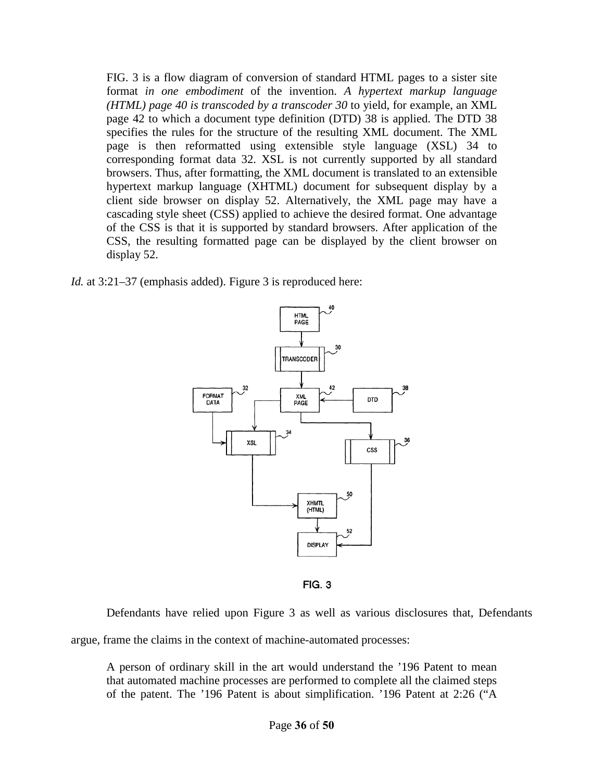FIG. 3 is a flow diagram of conversion of standard HTML pages to a sister site format *in one embodiment* of the invention. *A hypertext markup language (HTML) page 40 is transcoded by a transcoder 30* to yield, for example, an XML page 42 to which a document type definition (DTD) 38 is applied. The DTD 38 specifies the rules for the structure of the resulting XML document. The XML page is then reformatted using extensible style language (XSL) 34 to corresponding format data 32. XSL is not currently supported by all standard browsers. Thus, after formatting, the XML document is translated to an extensible hypertext markup language (XHTML) document for subsequent display by a client side browser on display 52. Alternatively, the XML page may have a cascading style sheet (CSS) applied to achieve the desired format. One advantage of the CSS is that it is supported by standard browsers. After application of the CSS, the resulting formatted page can be displayed by the client browser on display 52.

*Id.* at 3:21–37 (emphasis added). Figure 3 is reproduced here:



**FIG. 3** 

Defendants have relied upon Figure 3 as well as various disclosures that, Defendants

argue, frame the claims in the context of machine-automated processes:

A person of ordinary skill in the art would understand the '196 Patent to mean that automated machine processes are performed to complete all the claimed steps of the patent. The '196 Patent is about simplification. '196 Patent at 2:26 ("A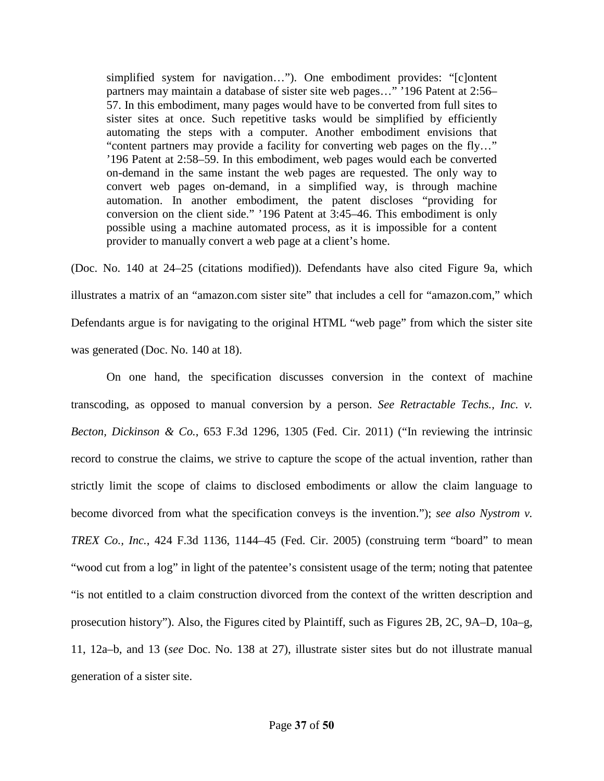simplified system for navigation…"). One embodiment provides: "[c]ontent partners may maintain a database of sister site web pages…" '196 Patent at 2:56– 57. In this embodiment, many pages would have to be converted from full sites to sister sites at once. Such repetitive tasks would be simplified by efficiently automating the steps with a computer. Another embodiment envisions that "content partners may provide a facility for converting web pages on the fly…" '196 Patent at 2:58–59. In this embodiment, web pages would each be converted on-demand in the same instant the web pages are requested. The only way to convert web pages on-demand, in a simplified way, is through machine automation. In another embodiment, the patent discloses "providing for conversion on the client side." '196 Patent at 3:45–46. This embodiment is only possible using a machine automated process, as it is impossible for a content provider to manually convert a web page at a client's home.

(Doc. No. 140 at 24–25 (citations modified)). Defendants have also cited Figure 9a, which illustrates a matrix of an "amazon.com sister site" that includes a cell for "amazon.com," which Defendants argue is for navigating to the original HTML "web page" from which the sister site was generated (Doc. No. 140 at 18).

On one hand, the specification discusses conversion in the context of machine transcoding, as opposed to manual conversion by a person. *See Retractable Techs., Inc. v. Becton, Dickinson & Co.*, 653 F.3d 1296, 1305 (Fed. Cir. 2011) ("In reviewing the intrinsic record to construe the claims, we strive to capture the scope of the actual invention, rather than strictly limit the scope of claims to disclosed embodiments or allow the claim language to become divorced from what the specification conveys is the invention."); *see also Nystrom v. TREX Co., Inc.*, 424 F.3d 1136, 1144–45 (Fed. Cir. 2005) (construing term "board" to mean "wood cut from a log" in light of the patentee's consistent usage of the term; noting that patentee "is not entitled to a claim construction divorced from the context of the written description and prosecution history"). Also, the Figures cited by Plaintiff, such as Figures 2B, 2C, 9A–D, 10a–g, 11, 12a–b, and 13 (*see* Doc. No. 138 at 27), illustrate sister sites but do not illustrate manual generation of a sister site.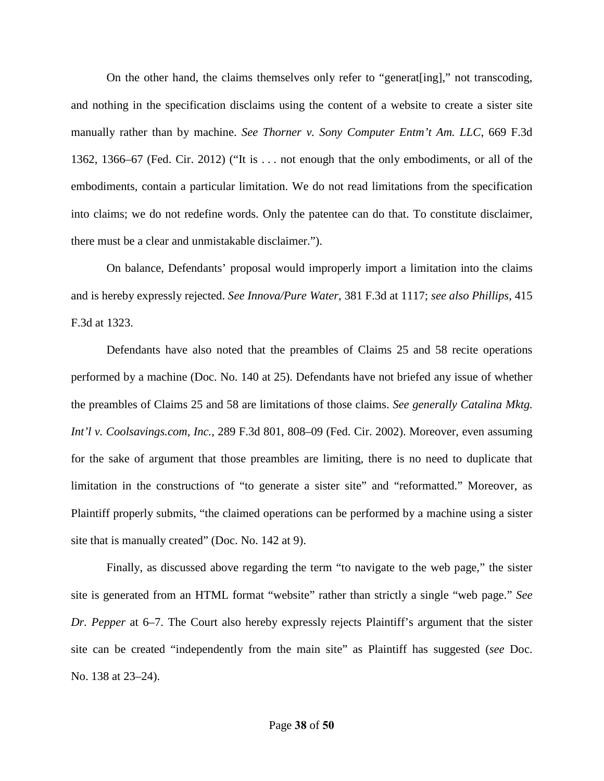On the other hand, the claims themselves only refer to "generat[ing]," not transcoding, and nothing in the specification disclaims using the content of a website to create a sister site manually rather than by machine. *See Thorner v. Sony Computer Entm't Am. LLC*, 669 F.3d 1362, 1366–67 (Fed. Cir. 2012) ("It is . . . not enough that the only embodiments, or all of the embodiments, contain a particular limitation. We do not read limitations from the specification into claims; we do not redefine words. Only the patentee can do that. To constitute disclaimer, there must be a clear and unmistakable disclaimer.").

On balance, Defendants' proposal would improperly import a limitation into the claims and is hereby expressly rejected. *See Innova/Pure Water*, 381 F.3d at 1117; *see also Phillips*, 415 F.3d at 1323.

Defendants have also noted that the preambles of Claims 25 and 58 recite operations performed by a machine (Doc. No. 140 at 25). Defendants have not briefed any issue of whether the preambles of Claims 25 and 58 are limitations of those claims. *See generally Catalina Mktg. Int'l v. Coolsavings.com, Inc.*, 289 F.3d 801, 808–09 (Fed. Cir. 2002). Moreover, even assuming for the sake of argument that those preambles are limiting, there is no need to duplicate that limitation in the constructions of "to generate a sister site" and "reformatted." Moreover, as Plaintiff properly submits, "the claimed operations can be performed by a machine using a sister site that is manually created" (Doc. No. 142 at 9).

Finally, as discussed above regarding the term "to navigate to the web page," the sister site is generated from an HTML format "website" rather than strictly a single "web page." *See Dr. Pepper* at 6–7. The Court also hereby expressly rejects Plaintiff's argument that the sister site can be created "independently from the main site" as Plaintiff has suggested (*see* Doc. No. 138 at 23–24).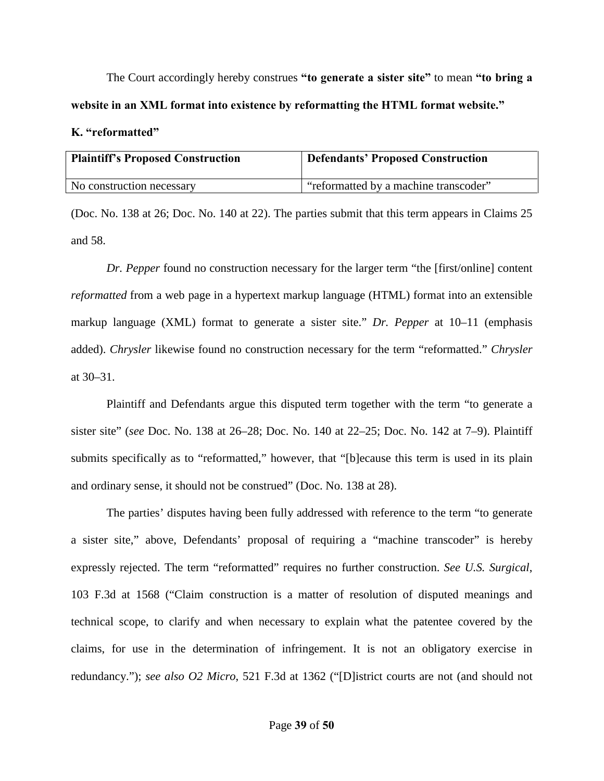The Court accordingly hereby construes **"to generate a sister site"** to mean **"to bring a website in an XML format into existence by reformatting the HTML format website."** 

#### <span id="page-38-0"></span>**K. "reformatted"**

| <b>Plaintiff's Proposed Construction</b> | <b>Defendants' Proposed Construction</b> |
|------------------------------------------|------------------------------------------|
| No construction necessary                | "reformatted by a machine transcoder"    |
|                                          |                                          |

(Doc. No. 138 at 26; Doc. No. 140 at 22). The parties submit that this term appears in Claims 25 and 58.

*Dr. Pepper* found no construction necessary for the larger term "the [first/online] content *reformatted* from a web page in a hypertext markup language (HTML) format into an extensible markup language (XML) format to generate a sister site." *Dr. Pepper* at 10–11 (emphasis added). *Chrysler* likewise found no construction necessary for the term "reformatted." *Chrysler* at 30–31.

Plaintiff and Defendants argue this disputed term together with the term "to generate a sister site" (*see* Doc. No. 138 at 26–28; Doc. No. 140 at 22–25; Doc. No. 142 at 7–9). Plaintiff submits specifically as to "reformatted," however, that "[b]ecause this term is used in its plain and ordinary sense, it should not be construed" (Doc. No. 138 at 28).

The parties' disputes having been fully addressed with reference to the term "to generate a sister site," above, Defendants' proposal of requiring a "machine transcoder" is hereby expressly rejected. The term "reformatted" requires no further construction. *See U.S. Surgical*, 103 F.3d at 1568 ("Claim construction is a matter of resolution of disputed meanings and technical scope, to clarify and when necessary to explain what the patentee covered by the claims, for use in the determination of infringement. It is not an obligatory exercise in redundancy."); *see also O2 Micro*, 521 F.3d at 1362 ("[D]istrict courts are not (and should not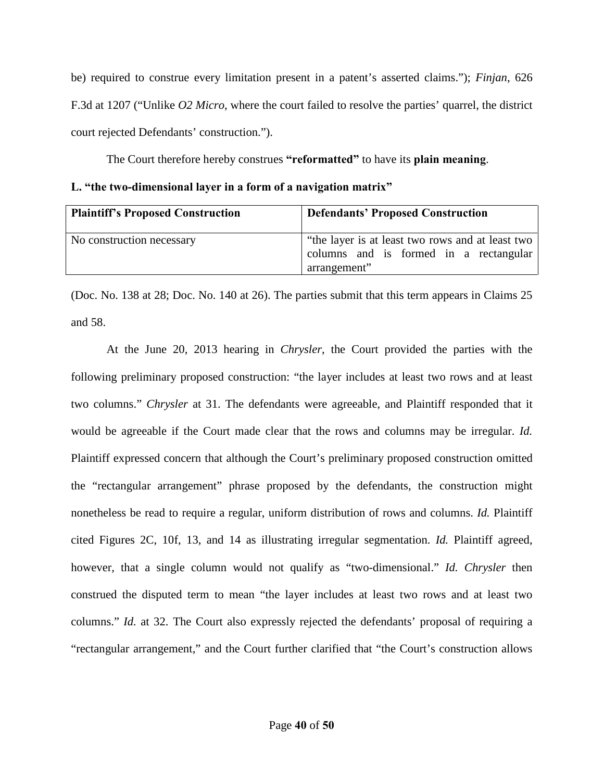be) required to construe every limitation present in a patent's asserted claims."); *Finjan*, 626 F.3d at 1207 ("Unlike *O2 Micro*, where the court failed to resolve the parties' quarrel, the district court rejected Defendants' construction.").

The Court therefore hereby construes **"reformatted"** to have its **plain meaning**.

<span id="page-39-0"></span>

|  |  |  |  | L. "the two-dimensional layer in a form of a navigation matrix" |  |
|--|--|--|--|-----------------------------------------------------------------|--|
|  |  |  |  |                                                                 |  |

| <b>Plaintiff's Proposed Construction</b> | <b>Defendants' Proposed Construction</b>                                                                   |
|------------------------------------------|------------------------------------------------------------------------------------------------------------|
| No construction necessary                | "the layer is at least two rows and at least two<br>columns and is formed in a rectangular<br>arrangement" |

(Doc. No. 138 at 28; Doc. No. 140 at 26). The parties submit that this term appears in Claims 25 and 58.

At the June 20, 2013 hearing in *Chrysler*, the Court provided the parties with the following preliminary proposed construction: "the layer includes at least two rows and at least two columns." *Chrysler* at 31. The defendants were agreeable, and Plaintiff responded that it would be agreeable if the Court made clear that the rows and columns may be irregular. *Id.* Plaintiff expressed concern that although the Court's preliminary proposed construction omitted the "rectangular arrangement" phrase proposed by the defendants, the construction might nonetheless be read to require a regular, uniform distribution of rows and columns. *Id.* Plaintiff cited Figures 2C, 10f, 13, and 14 as illustrating irregular segmentation. *Id.* Plaintiff agreed, however, that a single column would not qualify as "two-dimensional." *Id. Chrysler* then construed the disputed term to mean "the layer includes at least two rows and at least two columns." *Id.* at 32. The Court also expressly rejected the defendants' proposal of requiring a "rectangular arrangement," and the Court further clarified that "the Court's construction allows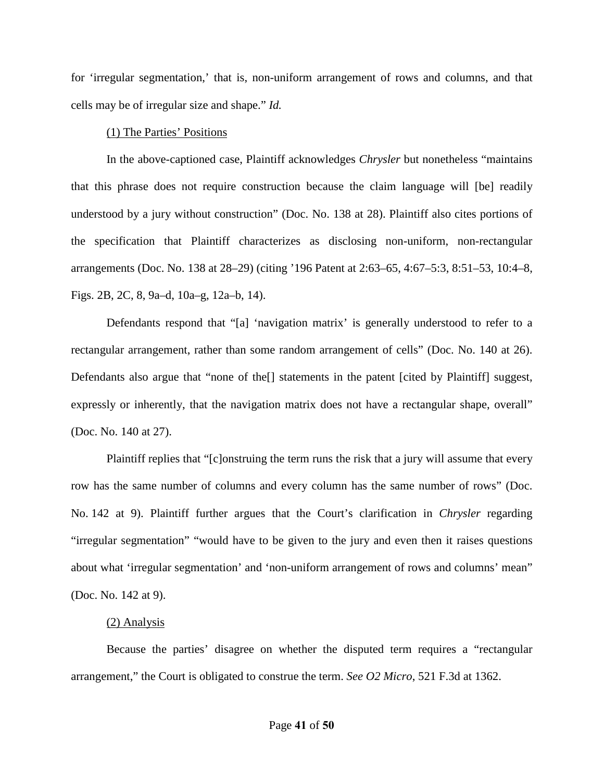for 'irregular segmentation,' that is, non-uniform arrangement of rows and columns, and that cells may be of irregular size and shape." *Id.*

#### (1) The Parties' Positions

In the above-captioned case, Plaintiff acknowledges *Chrysler* but nonetheless "maintains that this phrase does not require construction because the claim language will [be] readily understood by a jury without construction" (Doc. No. 138 at 28). Plaintiff also cites portions of the specification that Plaintiff characterizes as disclosing non-uniform, non-rectangular arrangements (Doc. No. 138 at 28–29) (citing '196 Patent at 2:63–65, 4:67–5:3, 8:51–53, 10:4–8, Figs. 2B, 2C, 8, 9a–d, 10a–g, 12a–b, 14).

Defendants respond that "[a] 'navigation matrix' is generally understood to refer to a rectangular arrangement, rather than some random arrangement of cells" (Doc. No. 140 at 26). Defendants also argue that "none of the[] statements in the patent [cited by Plaintiff] suggest, expressly or inherently, that the navigation matrix does not have a rectangular shape, overall" (Doc. No. 140 at 27).

Plaintiff replies that "[c]onstruing the term runs the risk that a jury will assume that every row has the same number of columns and every column has the same number of rows" (Doc. No. 142 at 9). Plaintiff further argues that the Court's clarification in *Chrysler* regarding "irregular segmentation" "would have to be given to the jury and even then it raises questions about what 'irregular segmentation' and 'non-uniform arrangement of rows and columns' mean" (Doc. No. 142 at 9).

#### (2) Analysis

Because the parties' disagree on whether the disputed term requires a "rectangular arrangement," the Court is obligated to construe the term. *See O2 Micro*, 521 F.3d at 1362.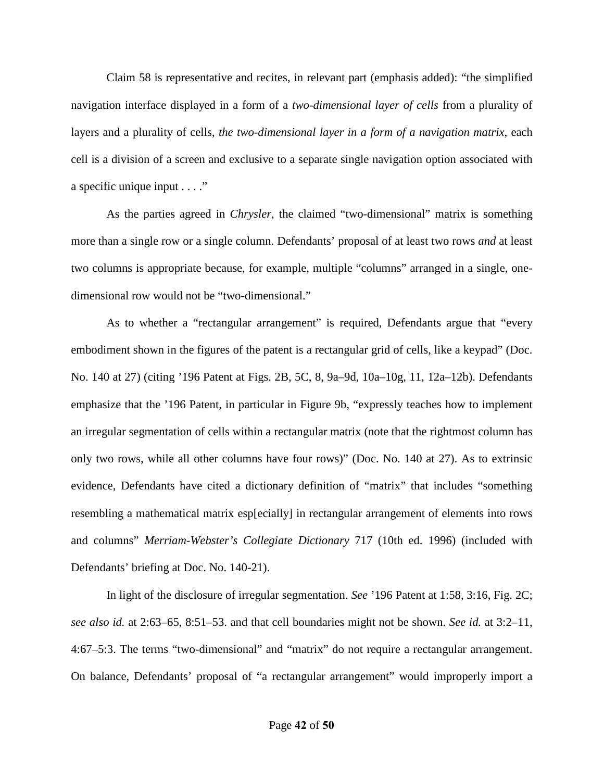Claim 58 is representative and recites, in relevant part (emphasis added): "the simplified navigation interface displayed in a form of a *two-dimensional layer of cells* from a plurality of layers and a plurality of cells, *the two-dimensional layer in a form of a navigation matrix*, each cell is a division of a screen and exclusive to a separate single navigation option associated with a specific unique input . . . ."

As the parties agreed in *Chrysler*, the claimed "two-dimensional" matrix is something more than a single row or a single column. Defendants' proposal of at least two rows *and* at least two columns is appropriate because, for example, multiple "columns" arranged in a single, onedimensional row would not be "two-dimensional."

As to whether a "rectangular arrangement" is required, Defendants argue that "every embodiment shown in the figures of the patent is a rectangular grid of cells, like a keypad" (Doc. No. 140 at 27) (citing '196 Patent at Figs. 2B, 5C, 8, 9a–9d, 10a–10g, 11, 12a–12b). Defendants emphasize that the '196 Patent, in particular in Figure 9b, "expressly teaches how to implement an irregular segmentation of cells within a rectangular matrix (note that the rightmost column has only two rows, while all other columns have four rows)" (Doc. No. 140 at 27). As to extrinsic evidence, Defendants have cited a dictionary definition of "matrix" that includes "something resembling a mathematical matrix esp[ecially] in rectangular arrangement of elements into rows and columns" *Merriam-Webster's Collegiate Dictionary* 717 (10th ed. 1996) (included with Defendants' briefing at Doc. No. 140-21).

 In light of the disclosure of irregular segmentation. *See* '196 Patent at 1:58, 3:16, Fig. 2C; *see also id.* at 2:63–65, 8:51–53. and that cell boundaries might not be shown. *See id.* at 3:2–11, 4:67–5:3. The terms "two-dimensional" and "matrix" do not require a rectangular arrangement. On balance, Defendants' proposal of "a rectangular arrangement" would improperly import a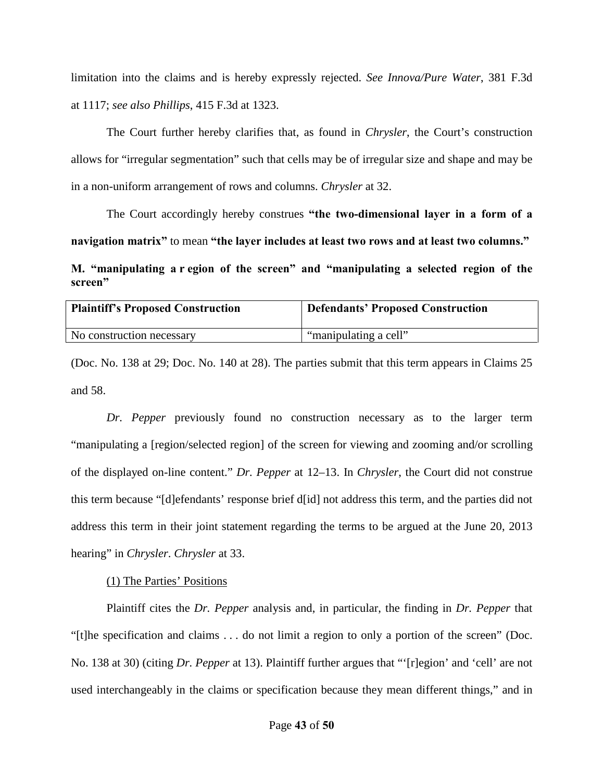limitation into the claims and is hereby expressly rejected. *See Innova/Pure Water*, 381 F.3d at 1117; *see also Phillips*, 415 F.3d at 1323.

The Court further hereby clarifies that, as found in *Chrysler*, the Court's construction allows for "irregular segmentation" such that cells may be of irregular size and shape and may be in a non-uniform arrangement of rows and columns. *Chrysler* at 32.

The Court accordingly hereby construes **"the two-dimensional layer in a form of a navigation matrix"** to mean **"the layer includes at least two rows and at least two columns."** 

<span id="page-42-0"></span>**M. "manipulating a r egion of the screen" and "manipulating a selected region of the screen"**

| <b>Plaintiff's Proposed Construction</b> | <b>Defendants' Proposed Construction</b> |
|------------------------------------------|------------------------------------------|
| No construction necessary                | "manipulating a cell"                    |

(Doc. No. 138 at 29; Doc. No. 140 at 28). The parties submit that this term appears in Claims 25 and 58.

*Dr. Pepper* previously found no construction necessary as to the larger term "manipulating a [region/selected region] of the screen for viewing and zooming and/or scrolling of the displayed on-line content." *Dr. Pepper* at 12–13. In *Chrysler*, the Court did not construe this term because "[d]efendants' response brief d[id] not address this term, and the parties did not address this term in their joint statement regarding the terms to be argued at the June 20, 2013 hearing" in *Chrysler*. *Chrysler* at 33.

(1) The Parties' Positions

Plaintiff cites the *Dr. Pepper* analysis and, in particular, the finding in *Dr. Pepper* that "[t]he specification and claims . . . do not limit a region to only a portion of the screen" (Doc. No. 138 at 30) (citing *Dr. Pepper* at 13). Plaintiff further argues that "'[r]egion' and 'cell' are not used interchangeably in the claims or specification because they mean different things," and in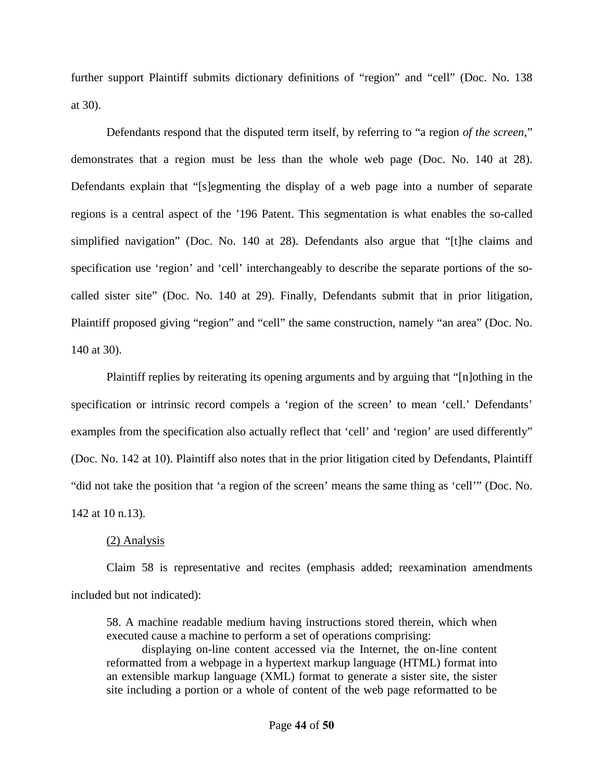further support Plaintiff submits dictionary definitions of "region" and "cell" (Doc. No. 138 at 30).

Defendants respond that the disputed term itself, by referring to "a region *of the screen*," demonstrates that a region must be less than the whole web page (Doc. No. 140 at 28). Defendants explain that "[s]egmenting the display of a web page into a number of separate regions is a central aspect of the '196 Patent. This segmentation is what enables the so-called simplified navigation" (Doc. No. 140 at 28). Defendants also argue that "[t]he claims and specification use 'region' and 'cell' interchangeably to describe the separate portions of the socalled sister site" (Doc. No. 140 at 29). Finally, Defendants submit that in prior litigation, Plaintiff proposed giving "region" and "cell" the same construction, namely "an area" (Doc. No. 140 at 30).

Plaintiff replies by reiterating its opening arguments and by arguing that "[n]othing in the specification or intrinsic record compels a 'region of the screen' to mean 'cell.' Defendants' examples from the specification also actually reflect that 'cell' and 'region' are used differently" (Doc. No. 142 at 10). Plaintiff also notes that in the prior litigation cited by Defendants, Plaintiff "did not take the position that 'a region of the screen' means the same thing as 'cell'" (Doc. No. 142 at 10 n.13).

## (2) Analysis

Claim 58 is representative and recites (emphasis added; reexamination amendments included but not indicated):

58. A machine readable medium having instructions stored therein, which when executed cause a machine to perform a set of operations comprising:

displaying on-line content accessed via the Internet, the on-line content reformatted from a webpage in a hypertext markup language (HTML) format into an extensible markup language (XML) format to generate a sister site, the sister site including a portion or a whole of content of the web page reformatted to be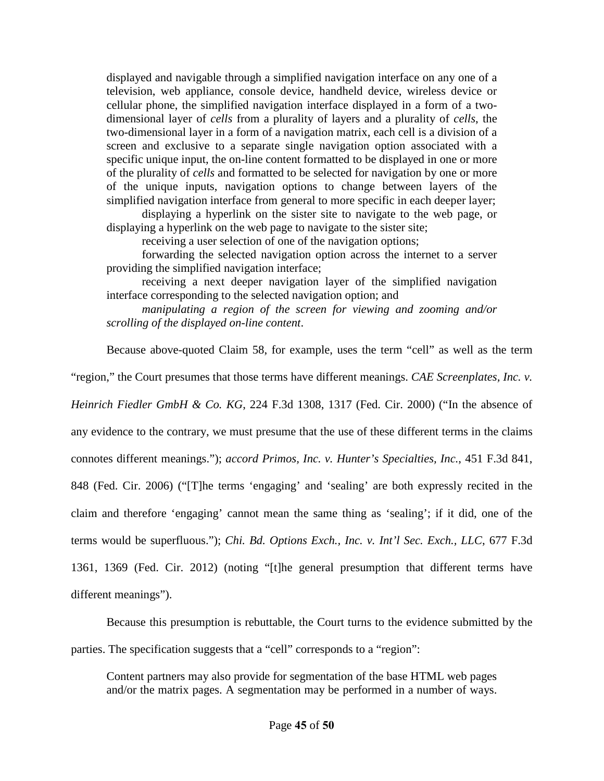displayed and navigable through a simplified navigation interface on any one of a television, web appliance, console device, handheld device, wireless device or cellular phone, the simplified navigation interface displayed in a form of a twodimensional layer of *cells* from a plurality of layers and a plurality of *cells*, the two-dimensional layer in a form of a navigation matrix, each cell is a division of a screen and exclusive to a separate single navigation option associated with a specific unique input, the on-line content formatted to be displayed in one or more of the plurality of *cells* and formatted to be selected for navigation by one or more of the unique inputs, navigation options to change between layers of the simplified navigation interface from general to more specific in each deeper layer;

displaying a hyperlink on the sister site to navigate to the web page, or displaying a hyperlink on the web page to navigate to the sister site;

receiving a user selection of one of the navigation options;

forwarding the selected navigation option across the internet to a server providing the simplified navigation interface;

receiving a next deeper navigation layer of the simplified navigation interface corresponding to the selected navigation option; and

*manipulating a region of the screen for viewing and zooming and/or scrolling of the displayed on-line content*.

Because above-quoted Claim 58, for example, uses the term "cell" as well as the term

"region," the Court presumes that those terms have different meanings. *CAE Screenplates, Inc. v.* 

*Heinrich Fiedler GmbH & Co. KG*, 224 F.3d 1308, 1317 (Fed. Cir. 2000) ("In the absence of

any evidence to the contrary, we must presume that the use of these different terms in the claims

connotes different meanings."); *accord Primos, Inc. v. Hunter's Specialties, Inc.*, 451 F.3d 841,

848 (Fed. Cir. 2006) ("[T]he terms 'engaging' and 'sealing' are both expressly recited in the

claim and therefore 'engaging' cannot mean the same thing as 'sealing'; if it did, one of the

terms would be superfluous."); *Chi. Bd. Options Exch., Inc. v. Int'l Sec. Exch., LLC*, 677 F.3d

1361, 1369 (Fed. Cir. 2012) (noting "[t]he general presumption that different terms have

different meanings").

Because this presumption is rebuttable, the Court turns to the evidence submitted by the parties. The specification suggests that a "cell" corresponds to a "region":

Content partners may also provide for segmentation of the base HTML web pages and/or the matrix pages. A segmentation may be performed in a number of ways.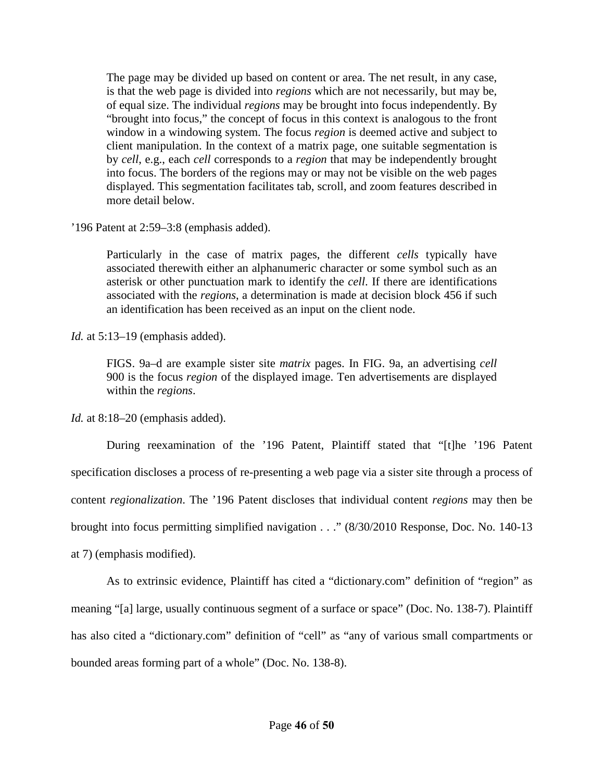The page may be divided up based on content or area. The net result, in any case, is that the web page is divided into *regions* which are not necessarily, but may be, of equal size. The individual *regions* may be brought into focus independently. By "brought into focus," the concept of focus in this context is analogous to the front window in a windowing system. The focus *region* is deemed active and subject to client manipulation. In the context of a matrix page, one suitable segmentation is by *cell*, e.g., each *cell* corresponds to a *region* that may be independently brought into focus. The borders of the regions may or may not be visible on the web pages displayed. This segmentation facilitates tab, scroll, and zoom features described in more detail below.

'196 Patent at 2:59–3:8 (emphasis added).

Particularly in the case of matrix pages, the different *cells* typically have associated therewith either an alphanumeric character or some symbol such as an asterisk or other punctuation mark to identify the *cell*. If there are identifications associated with the *regions*, a determination is made at decision block 456 if such an identification has been received as an input on the client node.

*Id.* at 5:13–19 (emphasis added).

FIGS. 9a–d are example sister site *matrix* pages. In FIG. 9a, an advertising *cell* 900 is the focus *region* of the displayed image. Ten advertisements are displayed within the *regions*.

*Id.* at 8:18–20 (emphasis added).

During reexamination of the '196 Patent, Plaintiff stated that "[t]he '196 Patent specification discloses a process of re-presenting a web page via a sister site through a process of content *regionalization*. The '196 Patent discloses that individual content *regions* may then be brought into focus permitting simplified navigation . . ." (8/30/2010 Response, Doc. No. 140-13 at 7) (emphasis modified).

As to extrinsic evidence, Plaintiff has cited a "dictionary.com" definition of "region" as meaning "[a] large, usually continuous segment of a surface or space" (Doc. No. 138-7). Plaintiff has also cited a "dictionary.com" definition of "cell" as "any of various small compartments or bounded areas forming part of a whole" (Doc. No. 138-8).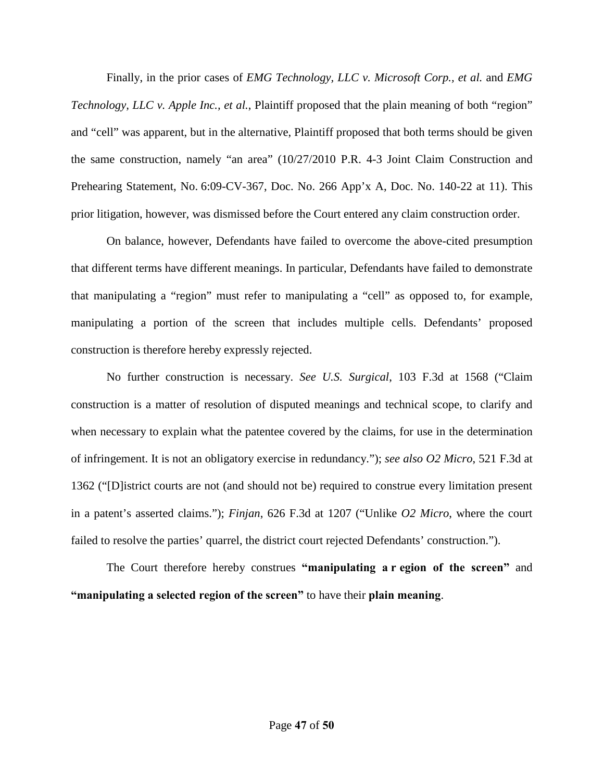Finally, in the prior cases of *EMG Technology, LLC v. Microsoft Corp., et al.* and *EMG Technology, LLC v. Apple Inc., et al.*, Plaintiff proposed that the plain meaning of both "region" and "cell" was apparent, but in the alternative, Plaintiff proposed that both terms should be given the same construction, namely "an area" (10/27/2010 P.R. 4-3 Joint Claim Construction and Prehearing Statement, No. 6:09-CV-367, Doc. No. 266 App'x A, Doc. No. 140-22 at 11). This prior litigation, however, was dismissed before the Court entered any claim construction order.

On balance, however, Defendants have failed to overcome the above-cited presumption that different terms have different meanings. In particular, Defendants have failed to demonstrate that manipulating a "region" must refer to manipulating a "cell" as opposed to, for example, manipulating a portion of the screen that includes multiple cells. Defendants' proposed construction is therefore hereby expressly rejected.

No further construction is necessary. *See U.S. Surgical*, 103 F.3d at 1568 ("Claim construction is a matter of resolution of disputed meanings and technical scope, to clarify and when necessary to explain what the patentee covered by the claims, for use in the determination of infringement. It is not an obligatory exercise in redundancy."); *see also O2 Micro*, 521 F.3d at 1362 ("[D]istrict courts are not (and should not be) required to construe every limitation present in a patent's asserted claims."); *Finjan*, 626 F.3d at 1207 ("Unlike *O2 Micro*, where the court failed to resolve the parties' quarrel, the district court rejected Defendants' construction.").

The Court therefore hereby construes **"manipulating a r egion of the screen"** and **"manipulating a selected region of the screen"** to have their **plain meaning**.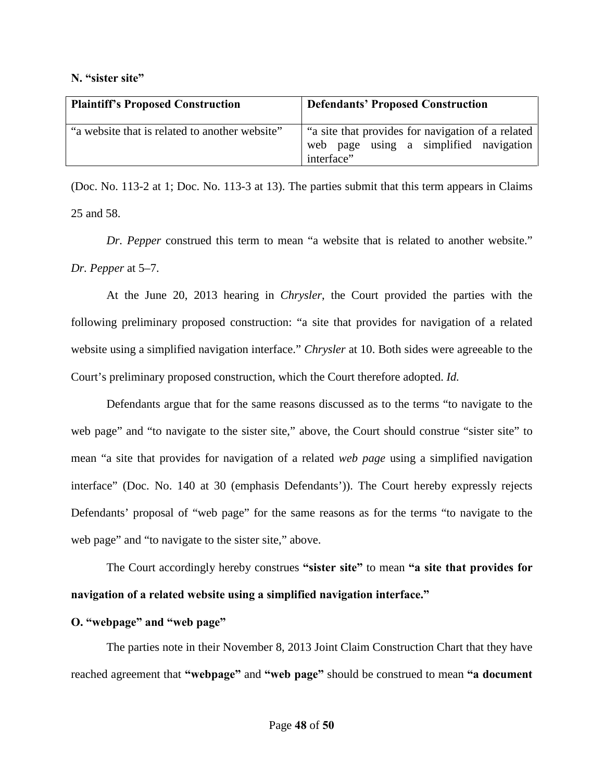#### <span id="page-47-0"></span>**N. "sister site"**

| <b>Plaintiff's Proposed Construction</b>       | <b>Defendants' Proposed Construction</b>                                                                  |
|------------------------------------------------|-----------------------------------------------------------------------------------------------------------|
| "a website that is related to another website" | "a site that provides for navigation of a related<br>web page using a simplified navigation<br>interface" |

(Doc. No. 113-2 at 1; Doc. No. 113-3 at 13). The parties submit that this term appears in Claims 25 and 58.

*Dr. Pepper* construed this term to mean "a website that is related to another website." *Dr. Pepper* at 5–7.

At the June 20, 2013 hearing in *Chrysler*, the Court provided the parties with the following preliminary proposed construction: "a site that provides for navigation of a related website using a simplified navigation interface." *Chrysler* at 10. Both sides were agreeable to the Court's preliminary proposed construction, which the Court therefore adopted. *Id.*

Defendants argue that for the same reasons discussed as to the terms "to navigate to the web page" and "to navigate to the sister site," above, the Court should construe "sister site" to mean "a site that provides for navigation of a related *web page* using a simplified navigation interface" (Doc. No. 140 at 30 (emphasis Defendants')). The Court hereby expressly rejects Defendants' proposal of "web page" for the same reasons as for the terms "to navigate to the web page" and "to navigate to the sister site," above.

 The Court accordingly hereby construes **"sister site"** to mean **"a site that provides for navigation of a related website using a simplified navigation interface."** 

## <span id="page-47-1"></span>**O. "webpage" and "web page"**

The parties note in their November 8, 2013 Joint Claim Construction Chart that they have reached agreement that **"webpage"** and **"web page"** should be construed to mean **"a document**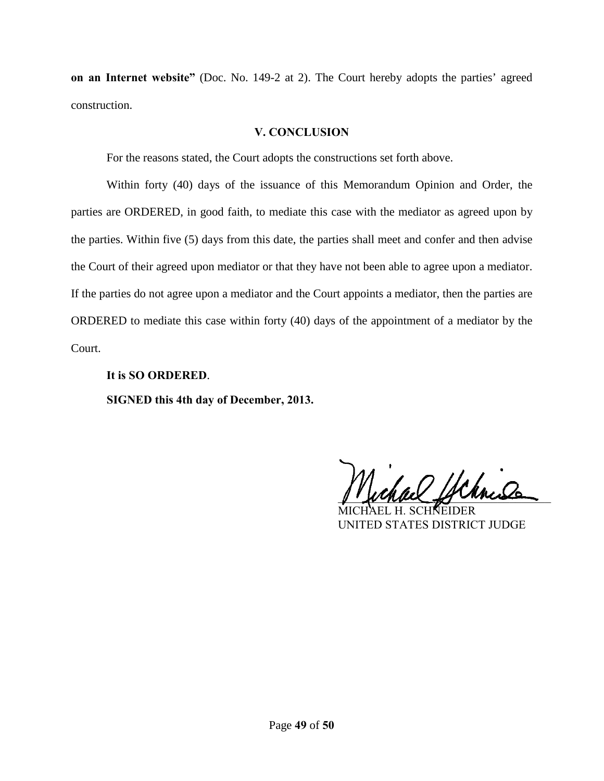**on an Internet website"** (Doc. No. 149-2 at 2). The Court hereby adopts the parties' agreed construction.

#### **V. CONCLUSION**

<span id="page-48-0"></span>For the reasons stated, the Court adopts the constructions set forth above.

Within forty (40) days of the issuance of this Memorandum Opinion and Order, the parties are ORDERED, in good faith, to mediate this case with the mediator as agreed upon by the parties. Within five (5) days from this date, the parties shall meet and confer and then advise . the Court of their agreed upon mediator or that they have not been able to agree upon a mediator. If the parties do not agree upon a mediator and the Court appoints a mediator, then the parties are ORDERED to mediate this case within forty (40) days of the appointment of a mediator by the Court.

**It is SO ORDERED**. **SIGNED this 4th day of December, 2013.**

chach Uchnis

MICHAEL H. SCHNEIDER UNITED STATES DISTRICT JUDGE